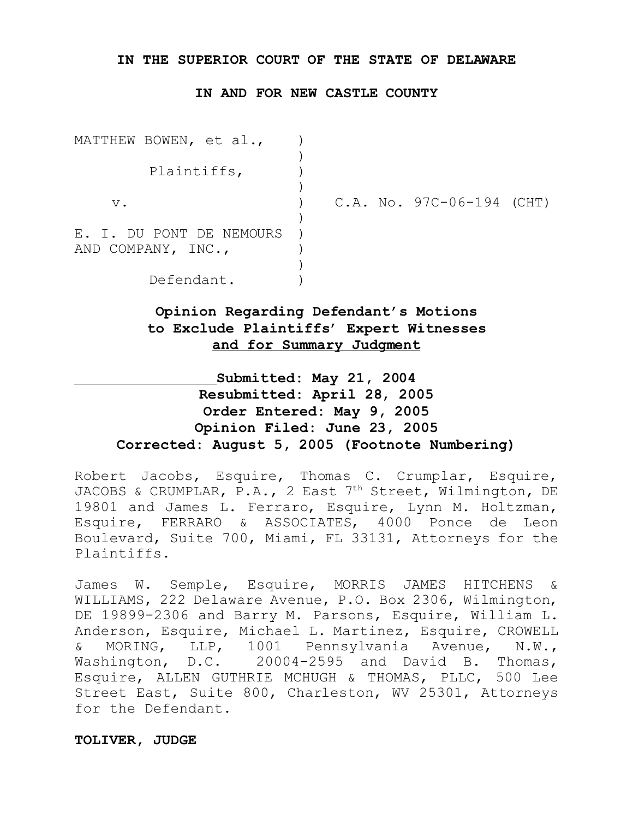## **IN THE SUPERIOR COURT OF THE STATE OF DELAWARE**

## **IN AND FOR NEW CASTLE COUNTY**

| MATTHEW BOWEN, et al.,                         |  |                             |  |
|------------------------------------------------|--|-----------------------------|--|
| Plaintiffs,                                    |  |                             |  |
| $V$ .                                          |  | $C.A. No. 97C-06-194 (CHT)$ |  |
| E. I. DU PONT DE NEMOURS<br>AND COMPANY, INC., |  |                             |  |
| Defendant.                                     |  |                             |  |

# **Opinion Regarding Defendant's Motions to Exclude Plaintiffs' Expert Witnesses and for Summary Judgment**

# **Submitted: May 21, 2004 Resubmitted: April 28, 2005 Order Entered: May 9, 2005 Opinion Filed: June 23, 2005 Corrected: August 5, 2005 (Footnote Numbering)**

Robert Jacobs, Esquire, Thomas C. Crumplar, Esquire, JACOBS & CRUMPLAR, P.A., 2 East 7<sup>th</sup> Street, Wilmington, DE 19801 and James L. Ferraro, Esquire, Lynn M. Holtzman, Esquire, FERRARO & ASSOCIATES, 4000 Ponce de Leon Boulevard, Suite 700, Miami, FL 33131, Attorneys for the Plaintiffs.

James W. Semple, Esquire, MORRIS JAMES HITCHENS & WILLIAMS, 222 Delaware Avenue, P.O. Box 2306, Wilmington, DE 19899-2306 and Barry M. Parsons, Esquire, William L. Anderson, Esquire, Michael L. Martinez, Esquire, CROWELL & MORING, LLP, 1001 Pennsylvania Avenue, N.W., Washington, D.C. 20004-2595 and David B. Thomas, Esquire, ALLEN GUTHRIE MCHUGH & THOMAS, PLLC, 500 Lee Street East, Suite 800, Charleston, WV 25301, Attorneys for the Defendant.

## **TOLIVER, JUDGE**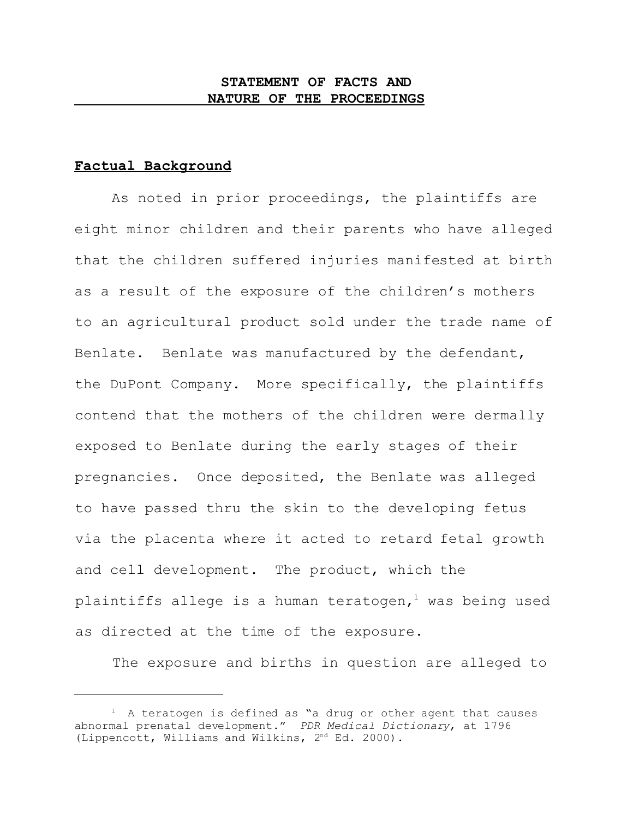## **STATEMENT OF FACTS AND NATURE OF THE PROCEEDINGS**

## **Factual Background**

As noted in prior proceedings, the plaintiffs are eight minor children and their parents who have alleged that the children suffered injuries manifested at birth as a result of the exposure of the children's mothers to an agricultural product sold under the trade name of Benlate. Benlate was manufactured by the defendant, the DuPont Company. More specifically, the plaintiffs contend that the mothers of the children were dermally exposed to Benlate during the early stages of their pregnancies. Once deposited, the Benlate was alleged to have passed thru the skin to the developing fetus via the placenta where it acted to retard fetal growth and cell development. The product, which the plaintiffs allege is a human teratogen,<sup>1</sup> was being used as directed at the time of the exposure.

The exposure and births in question are alleged to

 $<sup>1</sup>$  A teratogen is defined as "a drug or other agent that causes</sup> abnormal prenatal development." *PDR Medical Dictionary*, at 1796 (Lippencott, Williams and Wilkins, 2nd Ed. 2000).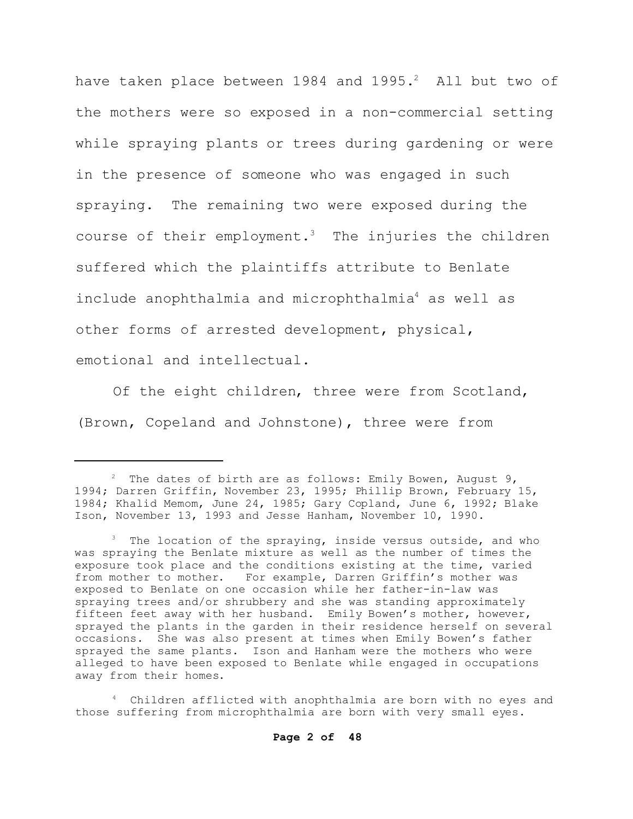have taken place between 1984 and  $1995.^2$  All but two of the mothers were so exposed in a non-commercial setting while spraying plants or trees during gardening or were in the presence of someone who was engaged in such spraying. The remaining two were exposed during the course of their employment.<sup>3</sup> The injuries the children suffered which the plaintiffs attribute to Benlate include anophthalmia and microphthalmia<sup>4</sup> as well as other forms of arrested development, physical, emotional and intellectual.

Of the eight children, three were from Scotland, (Brown, Copeland and Johnstone), three were from

 $2^2$  The dates of birth are as follows: Emily Bowen, August 9, 1994; Darren Griffin, November 23, 1995; Phillip Brown, February 15, 1984; Khalid Memom, June 24, 1985; Gary Copland, June 6, 1992; Blake Ison, November 13, 1993 and Jesse Hanham, November 10, 1990.

<sup>&</sup>lt;sup>3</sup> The location of the spraying, inside versus outside, and who was spraying the Benlate mixture as well as the number of times the exposure took place and the conditions existing at the time, varied from mother to mother. For example, Darren Griffin's mother was exposed to Benlate on one occasion while her father-in-law was spraying trees and/or shrubbery and she was standing approximately fifteen feet away with her husband. Emily Bowen's mother, however, sprayed the plants in the garden in their residence herself on several occasions. She was also present at times when Emily Bowen's father sprayed the same plants. Ison and Hanham were the mothers who were alleged to have been exposed to Benlate while engaged in occupations away from their homes.

Children afflicted with anophthalmia are born with no eyes and those suffering from microphthalmia are born with very small eyes.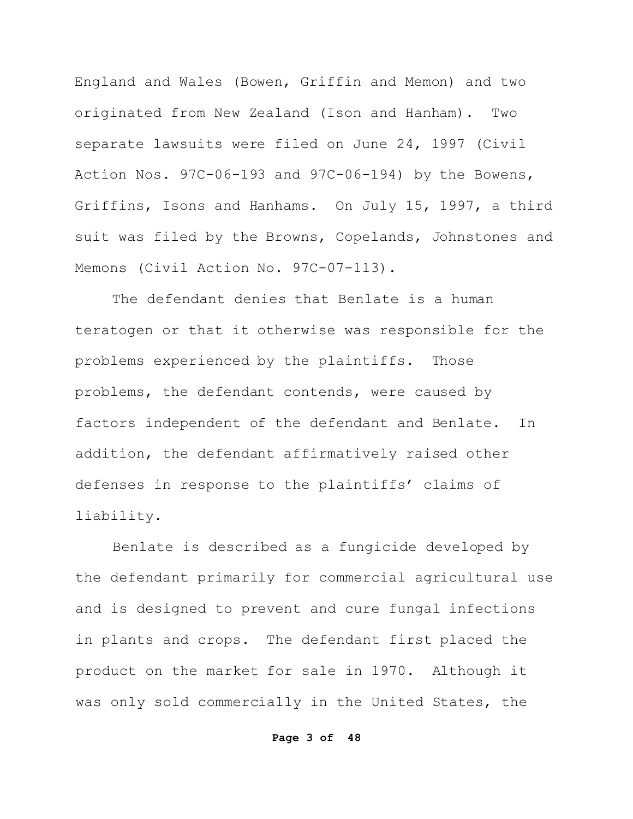England and Wales (Bowen, Griffin and Memon) and two originated from New Zealand (Ison and Hanham). Two separate lawsuits were filed on June 24, 1997 (Civil Action Nos. 97C-06-193 and 97C-06-194) by the Bowens, Griffins, Isons and Hanhams. On July 15, 1997, a third suit was filed by the Browns, Copelands, Johnstones and Memons (Civil Action No. 97C-07-113).

The defendant denies that Benlate is a human teratogen or that it otherwise was responsible for the problems experienced by the plaintiffs. Those problems, the defendant contends, were caused by factors independent of the defendant and Benlate. In addition, the defendant affirmatively raised other defenses in response to the plaintiffs' claims of liability.

Benlate is described as a fungicide developed by the defendant primarily for commercial agricultural use and is designed to prevent and cure fungal infections in plants and crops. The defendant first placed the product on the market for sale in 1970. Although it was only sold commercially in the United States, the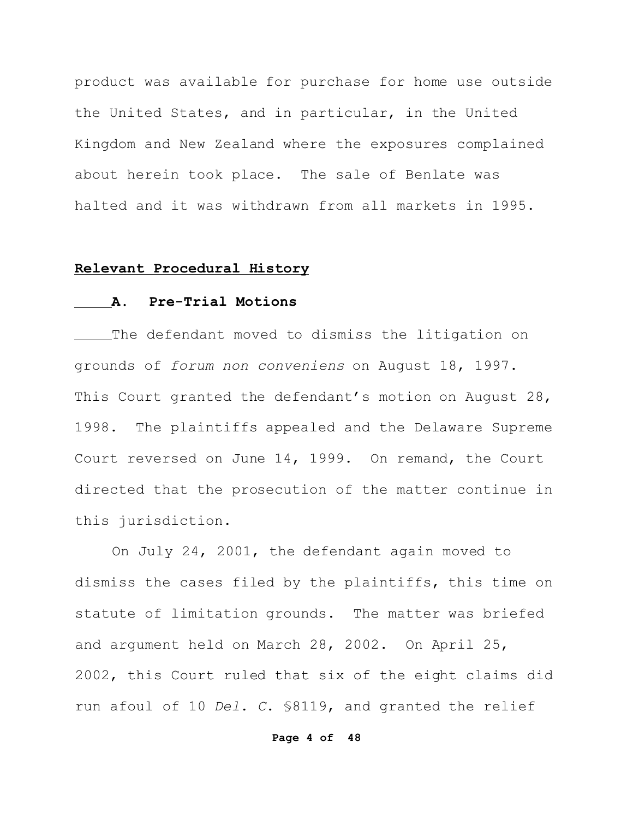product was available for purchase for home use outside the United States, and in particular, in the United Kingdom and New Zealand where the exposures complained about herein took place. The sale of Benlate was halted and it was withdrawn from all markets in 1995.

## **Relevant Procedural History**

## **A. Pre-Trial Motions**

The defendant moved to dismiss the litigation on grounds of *forum non conveniens* on August 18, 1997. This Court granted the defendant's motion on August 28, 1998. The plaintiffs appealed and the Delaware Supreme Court reversed on June 14, 1999. On remand, the Court directed that the prosecution of the matter continue in this jurisdiction.

On July 24, 2001, the defendant again moved to dismiss the cases filed by the plaintiffs, this time on statute of limitation grounds. The matter was briefed and argument held on March 28, 2002. On April 25, 2002, this Court ruled that six of the eight claims did run afoul of 10 *Del*. *C*. §8119, and granted the relief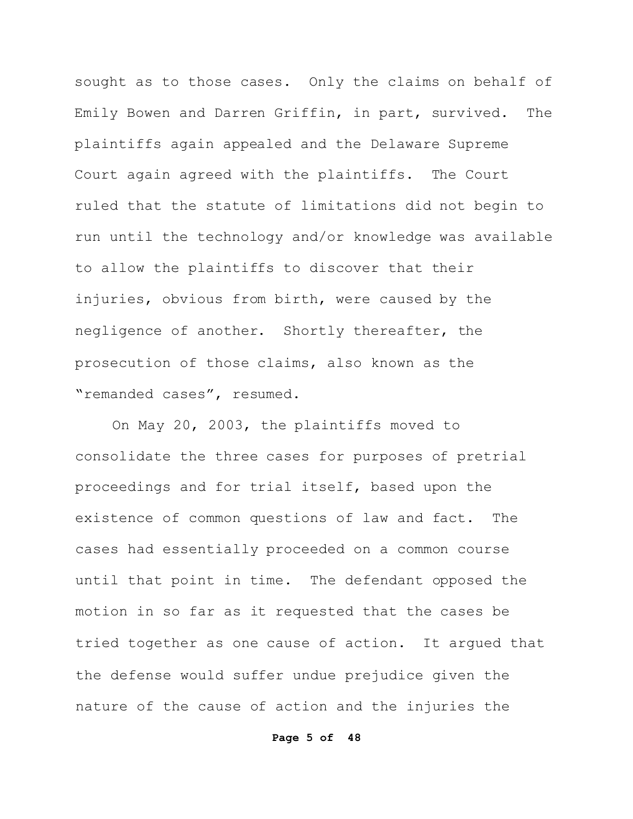sought as to those cases. Only the claims on behalf of Emily Bowen and Darren Griffin, in part, survived. The plaintiffs again appealed and the Delaware Supreme Court again agreed with the plaintiffs. The Court ruled that the statute of limitations did not begin to run until the technology and/or knowledge was available to allow the plaintiffs to discover that their injuries, obvious from birth, were caused by the negligence of another. Shortly thereafter, the prosecution of those claims, also known as the "remanded cases", resumed.

On May 20, 2003, the plaintiffs moved to consolidate the three cases for purposes of pretrial proceedings and for trial itself, based upon the existence of common questions of law and fact. The cases had essentially proceeded on a common course until that point in time. The defendant opposed the motion in so far as it requested that the cases be tried together as one cause of action. It argued that the defense would suffer undue prejudice given the nature of the cause of action and the injuries the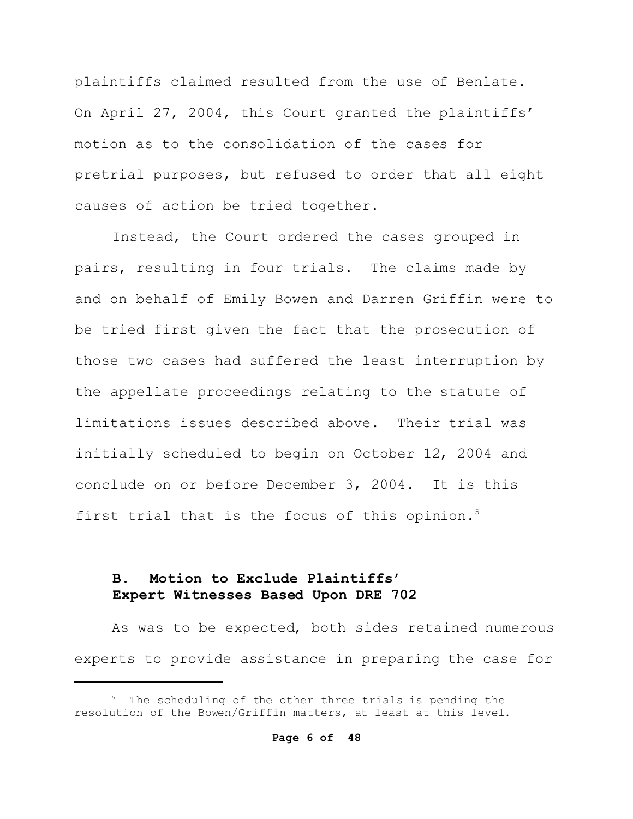plaintiffs claimed resulted from the use of Benlate. On April 27, 2004, this Court granted the plaintiffs' motion as to the consolidation of the cases for pretrial purposes, but refused to order that all eight causes of action be tried together.

Instead, the Court ordered the cases grouped in pairs, resulting in four trials. The claims made by and on behalf of Emily Bowen and Darren Griffin were to be tried first given the fact that the prosecution of those two cases had suffered the least interruption by the appellate proceedings relating to the statute of limitations issues described above. Their trial was initially scheduled to begin on October 12, 2004 and conclude on or before December 3, 2004. It is this first trial that is the focus of this opinion.<sup>5</sup>

# **B. Motion to Exclude Plaintiffs' Expert Witnesses Based Upon DRE 702**

As was to be expected, both sides retained numerous experts to provide assistance in preparing the case for

<sup>&</sup>lt;sup>5</sup> The scheduling of the other three trials is pending the resolution of the Bowen/Griffin matters, at least at this level.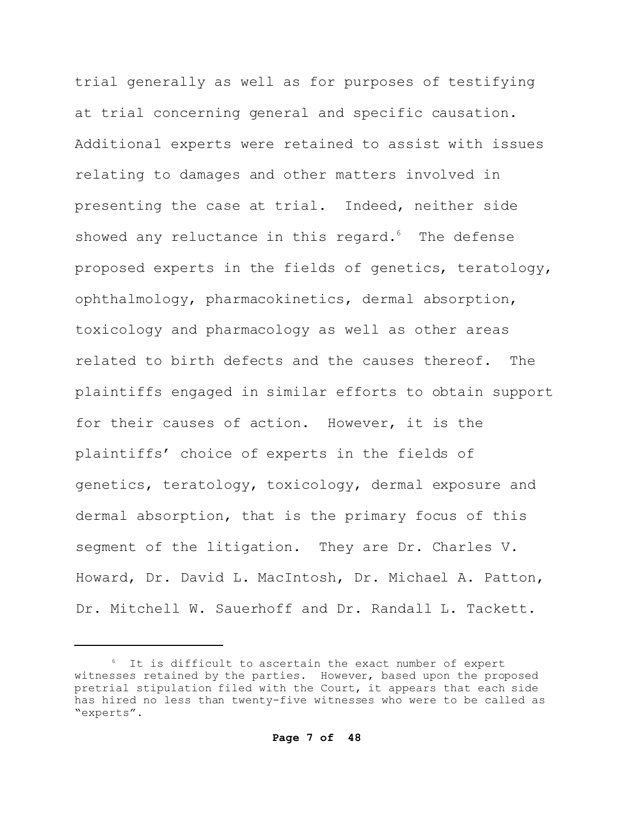trial generally as well as for purposes of testifying at trial concerning general and specific causation. Additional experts were retained to assist with issues relating to damages and other matters involved in presenting the case at trial. Indeed, neither side showed any reluctance in this regard. $6$  The defense proposed experts in the fields of genetics, teratology, ophthalmology, pharmacokinetics, dermal absorption, toxicology and pharmacology as well as other areas related to birth defects and the causes thereof. The plaintiffs engaged in similar efforts to obtain support for their causes of action. However, it is the plaintiffs' choice of experts in the fields of genetics, teratology, toxicology, dermal exposure and dermal absorption, that is the primary focus of this segment of the litigation. They are Dr. Charles V. Howard, Dr. David L. MacIntosh, Dr. Michael A. Patton, Dr. Mitchell W. Sauerhoff and Dr. Randall L. Tackett.

<sup>6</sup> It is difficult to ascertain the exact number of expert witnesses retained by the parties. However, based upon the proposed pretrial stipulation filed with the Court, it appears that each side has hired no less than twenty-five witnesses who were to be called as "experts".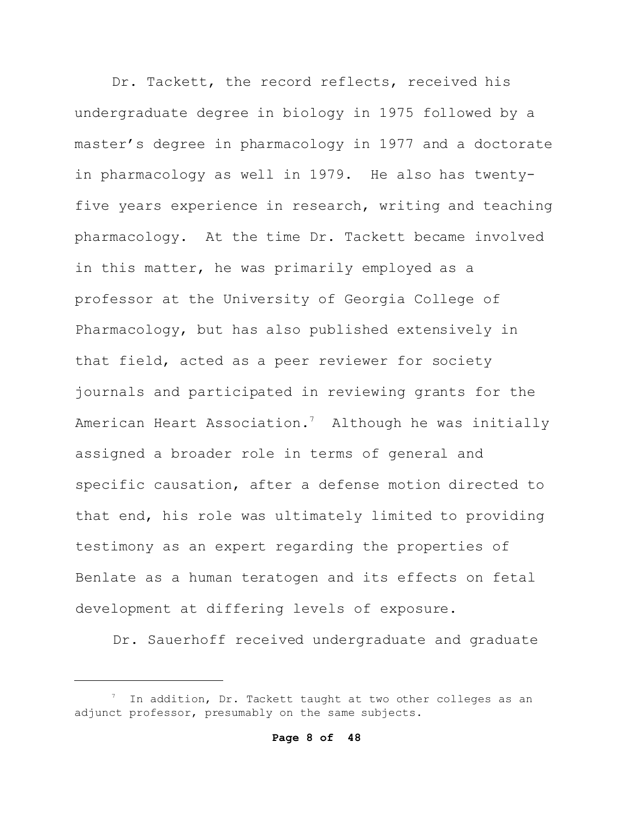Dr. Tackett, the record reflects, received his undergraduate degree in biology in 1975 followed by a master's degree in pharmacology in 1977 and a doctorate in pharmacology as well in 1979. He also has twentyfive years experience in research, writing and teaching pharmacology. At the time Dr. Tackett became involved in this matter, he was primarily employed as a professor at the University of Georgia College of Pharmacology, but has also published extensively in that field, acted as a peer reviewer for society journals and participated in reviewing grants for the American Heart Association.<sup>7</sup> Although he was initially assigned a broader role in terms of general and specific causation, after a defense motion directed to that end, his role was ultimately limited to providing testimony as an expert regarding the properties of Benlate as a human teratogen and its effects on fetal development at differing levels of exposure.

Dr. Sauerhoff received undergraduate and graduate

<sup>&</sup>lt;sup>7</sup> In addition, Dr. Tackett taught at two other colleges as an adjunct professor, presumably on the same subjects.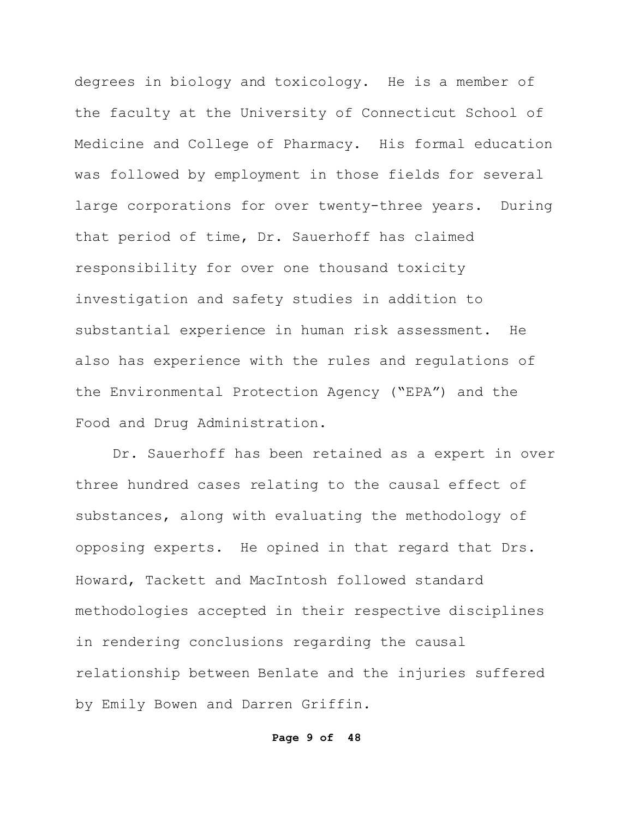degrees in biology and toxicology. He is a member of the faculty at the University of Connecticut School of Medicine and College of Pharmacy. His formal education was followed by employment in those fields for several large corporations for over twenty-three years. During that period of time, Dr. Sauerhoff has claimed responsibility for over one thousand toxicity investigation and safety studies in addition to substantial experience in human risk assessment. He also has experience with the rules and regulations of the Environmental Protection Agency ("EPA") and the Food and Drug Administration.

Dr. Sauerhoff has been retained as a expert in over three hundred cases relating to the causal effect of substances, along with evaluating the methodology of opposing experts. He opined in that regard that Drs. Howard, Tackett and MacIntosh followed standard methodologies accepted in their respective disciplines in rendering conclusions regarding the causal relationship between Benlate and the injuries suffered by Emily Bowen and Darren Griffin.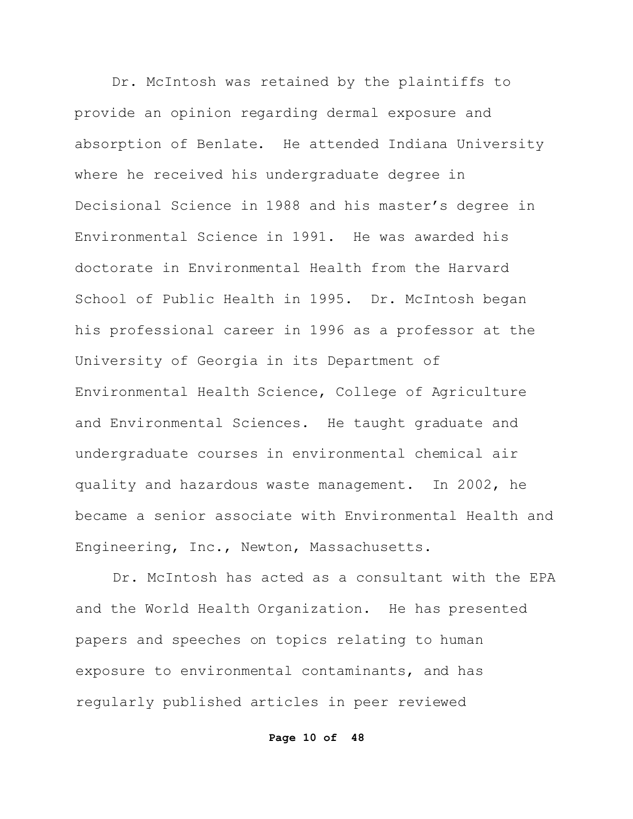Dr. McIntosh was retained by the plaintiffs to provide an opinion regarding dermal exposure and absorption of Benlate. He attended Indiana University where he received his undergraduate degree in Decisional Science in 1988 and his master's degree in Environmental Science in 1991. He was awarded his doctorate in Environmental Health from the Harvard School of Public Health in 1995. Dr. McIntosh began his professional career in 1996 as a professor at the University of Georgia in its Department of Environmental Health Science, College of Agriculture and Environmental Sciences. He taught graduate and undergraduate courses in environmental chemical air quality and hazardous waste management. In 2002, he became a senior associate with Environmental Health and Engineering, Inc., Newton, Massachusetts.

Dr. McIntosh has acted as a consultant with the EPA and the World Health Organization. He has presented papers and speeches on topics relating to human exposure to environmental contaminants, and has regularly published articles in peer reviewed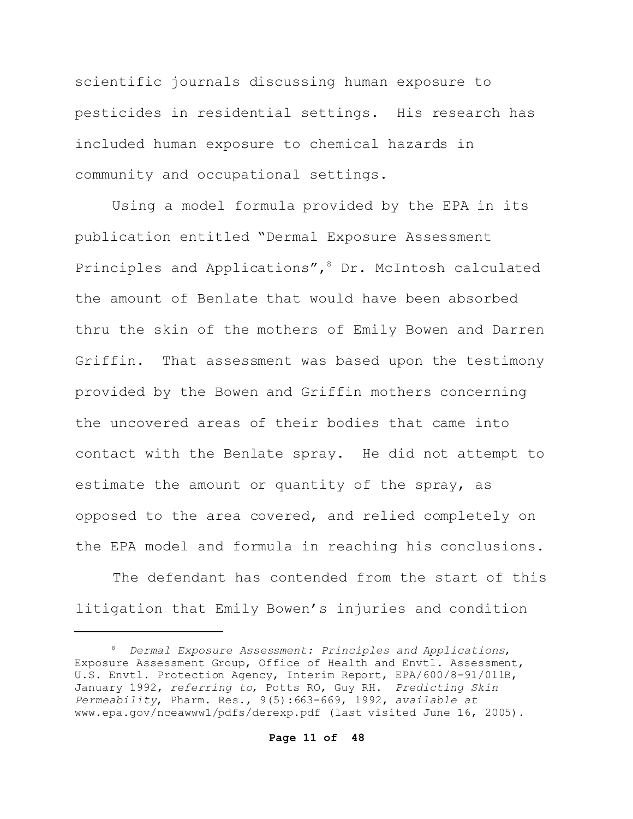scientific journals discussing human exposure to pesticides in residential settings. His research has included human exposure to chemical hazards in community and occupational settings.

Using a model formula provided by the EPA in its publication entitled "Dermal Exposure Assessment Principles and Applications",<sup>8</sup> Dr. McIntosh calculated the amount of Benlate that would have been absorbed thru the skin of the mothers of Emily Bowen and Darren Griffin. That assessment was based upon the testimony provided by the Bowen and Griffin mothers concerning the uncovered areas of their bodies that came into contact with the Benlate spray. He did not attempt to estimate the amount or quantity of the spray, as opposed to the area covered, and relied completely on the EPA model and formula in reaching his conclusions.

The defendant has contended from the start of this litigation that Emily Bowen's injuries and condition

<sup>8</sup> *Dermal Exposure Assessment: Principles and Applications*, Exposure Assessment Group, Office of Health and Envtl. Assessment, U.S. Envtl. Protection Agency, Interim Report, EPA/600/8-91/011B, January 1992, *referring to*, Potts RO, Guy RH. *Predicting Skin Permeability*, Pharm. Res., 9(5):663-669, 1992, *available at* www.epa.gov/nceawww1/pdfs/derexp.pdf (last visited June 16, 2005).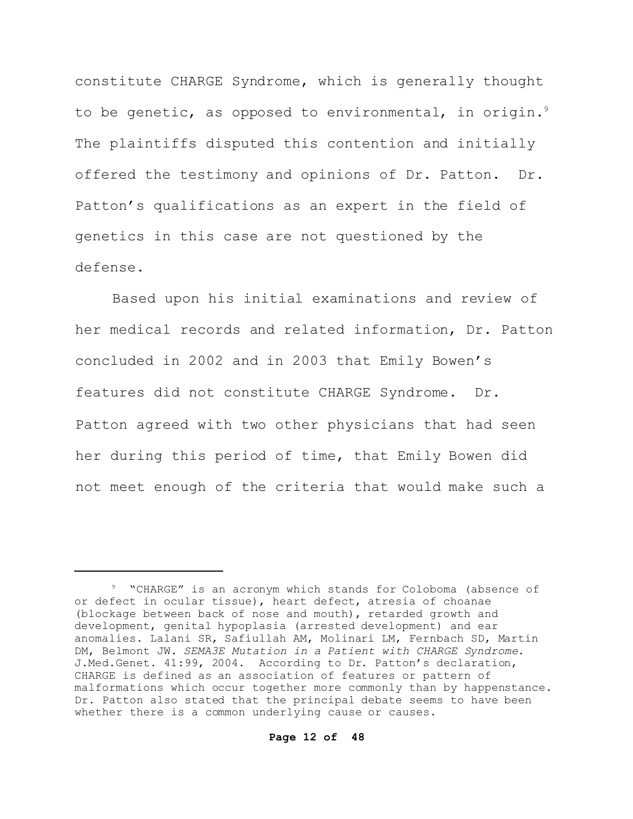constitute CHARGE Syndrome, which is generally thought to be genetic, as opposed to environmental, in origin.<sup>9</sup> The plaintiffs disputed this contention and initially offered the testimony and opinions of Dr. Patton. Dr. Patton's qualifications as an expert in the field of genetics in this case are not questioned by the defense.

Based upon his initial examinations and review of her medical records and related information, Dr. Patton concluded in 2002 and in 2003 that Emily Bowen's features did not constitute CHARGE Syndrome. Dr. Patton agreed with two other physicians that had seen her during this period of time, that Emily Bowen did not meet enough of the criteria that would make such a

<sup>&</sup>lt;sup>9</sup> "CHARGE" is an acronym which stands for Coloboma (absence of or defect in ocular tissue), heart defect, atresia of choanae (blockage between back of nose and mouth), retarded growth and development, genital hypoplasia (arrested development) and ear anomalies. Lalani SR, Safiullah AM, Molinari LM, Fernbach SD, Martin DM, Belmont JW. *SEMA3E Mutation in a Patient with CHARGE Syndrome*. J.Med.Genet. 41:99, 2004. According to Dr. Patton's declaration, CHARGE is defined as an association of features or pattern of malformations which occur together more commonly than by happenstance. Dr. Patton also stated that the principal debate seems to have been whether there is a common underlying cause or causes.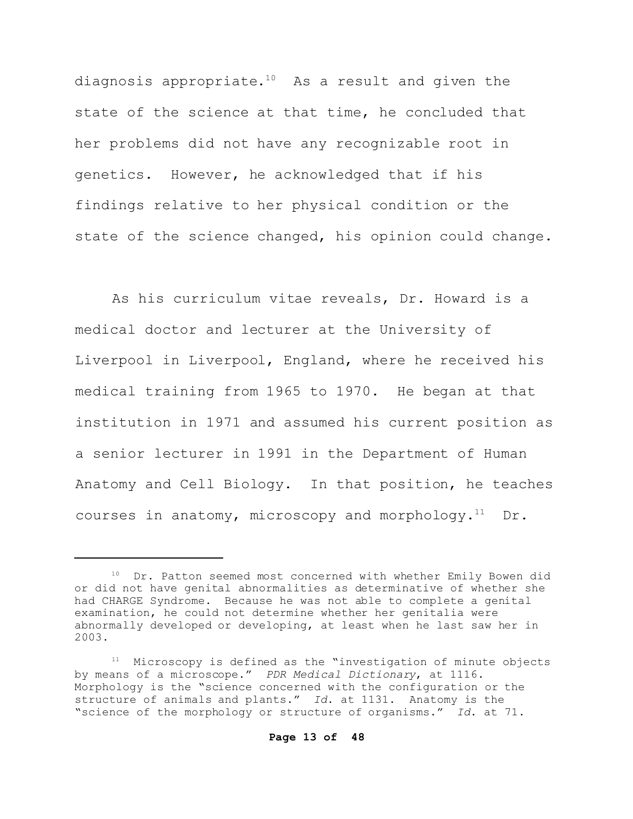diagnosis appropriate. <sup>10</sup> As a result and given the state of the science at that time, he concluded that her problems did not have any recognizable root in genetics. However, he acknowledged that if his findings relative to her physical condition or the state of the science changed, his opinion could change.

As his curriculum vitae reveals, Dr. Howard is a medical doctor and lecturer at the University of Liverpool in Liverpool, England, where he received his medical training from 1965 to 1970. He began at that institution in 1971 and assumed his current position as a senior lecturer in 1991 in the Department of Human Anatomy and Cell Biology. In that position, he teaches courses in anatomy, microscopy and morphology. $^{11}$  Dr.

Dr. Patton seemed most concerned with whether Emily Bowen did or did not have genital abnormalities as determinative of whether she had CHARGE Syndrome. Because he was not able to complete a genital examination, he could not determine whether her genitalia were abnormally developed or developing, at least when he last saw her in 2003.

<sup>&</sup>lt;sup>11</sup> Microscopy is defined as the "investigation of minute objects by means of a microscope." *PDR Medical Dictionary*, at 1116. Morphology is the "science concerned with the configuration or the structure of animals and plants." *Id*. at 1131. Anatomy is the "science of the morphology or structure of organisms." *Id*. at 71.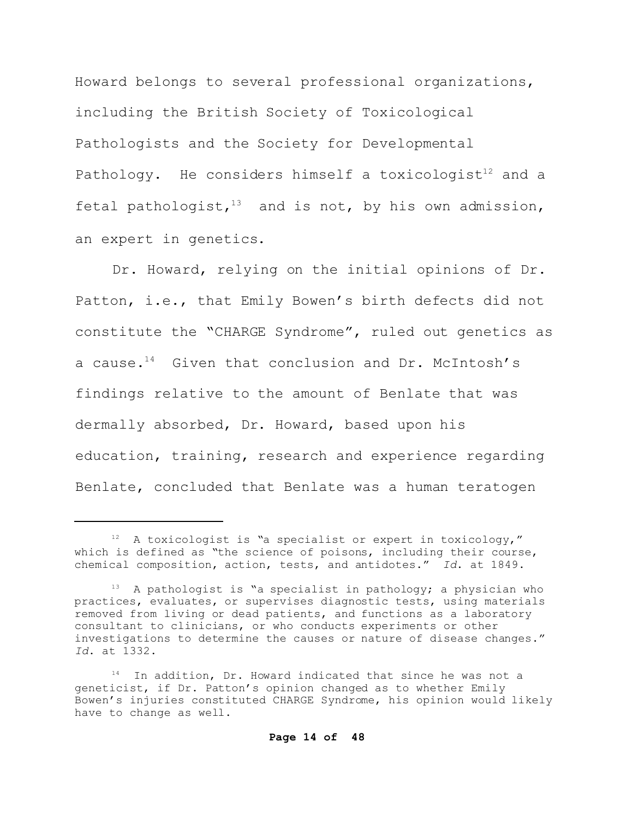Howard belongs to several professional organizations, including the British Society of Toxicological Pathologists and the Society for Developmental Pathology. He considers himself a toxicologist<sup>12</sup> and a fetal pathologist, $13$  and is not, by his own admission, an expert in genetics.

Dr. Howard, relying on the initial opinions of Dr. Patton, i.e., that Emily Bowen's birth defects did not constitute the "CHARGE Syndrome", ruled out genetics as a cause.<sup>14</sup> Given that conclusion and Dr. McIntosh's findings relative to the amount of Benlate that was dermally absorbed, Dr. Howard, based upon his education, training, research and experience regarding Benlate, concluded that Benlate was a human teratogen

 $12$  A toxicologist is "a specialist or expert in toxicology," which is defined as "the science of poisons, including their course, chemical composition, action, tests, and antidotes." *Id*. at 1849.

 $13$  A pathologist is "a specialist in pathology; a physician who practices, evaluates, or supervises diagnostic tests, using materials removed from living or dead patients, and functions as a laboratory consultant to clinicians, or who conducts experiments or other investigations to determine the causes or nature of disease changes." *Id*. at 1332.

<sup>14</sup> In addition, Dr. Howard indicated that since he was not a geneticist, if Dr. Patton's opinion changed as to whether Emily Bowen's injuries constituted CHARGE Syndrome, his opinion would likely have to change as well.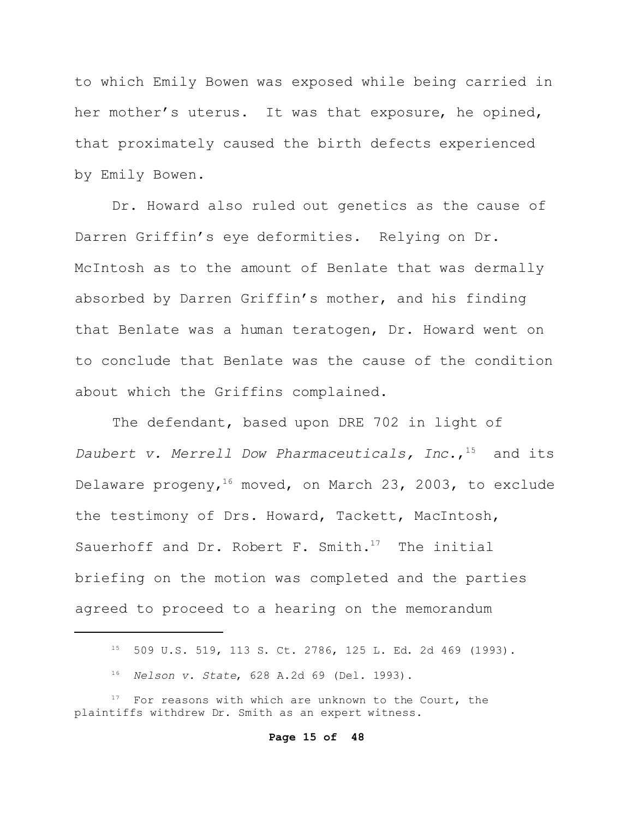to which Emily Bowen was exposed while being carried in her mother's uterus. It was that exposure, he opined, that proximately caused the birth defects experienced by Emily Bowen.

Dr. Howard also ruled out genetics as the cause of Darren Griffin's eye deformities. Relying on Dr. McIntosh as to the amount of Benlate that was dermally absorbed by Darren Griffin's mother, and his finding that Benlate was a human teratogen, Dr. Howard went on to conclude that Benlate was the cause of the condition about which the Griffins complained.

The defendant, based upon DRE 702 in light of *Daubert v. Merrell Dow Pharmaceuticals, Inc.*, <sup>15</sup> and its Delaware progeny,<sup>16</sup> moved, on March 23, 2003, to exclude the testimony of Drs. Howard, Tackett, MacIntosh, Sauerhoff and Dr. Robert F. Smith. $17$  The initial briefing on the motion was completed and the parties agreed to proceed to a hearing on the memorandum

#### **Page 15 of 48**

<sup>15</sup> 509 U.S. 519, 113 S. Ct. 2786, 125 L. Ed. 2d 469 (1993).

<sup>16</sup> *Nelson v. State*, 628 A.2d 69 (Del. 1993).

For reasons with which are unknown to the Court, the plaintiffs withdrew Dr. Smith as an expert witness.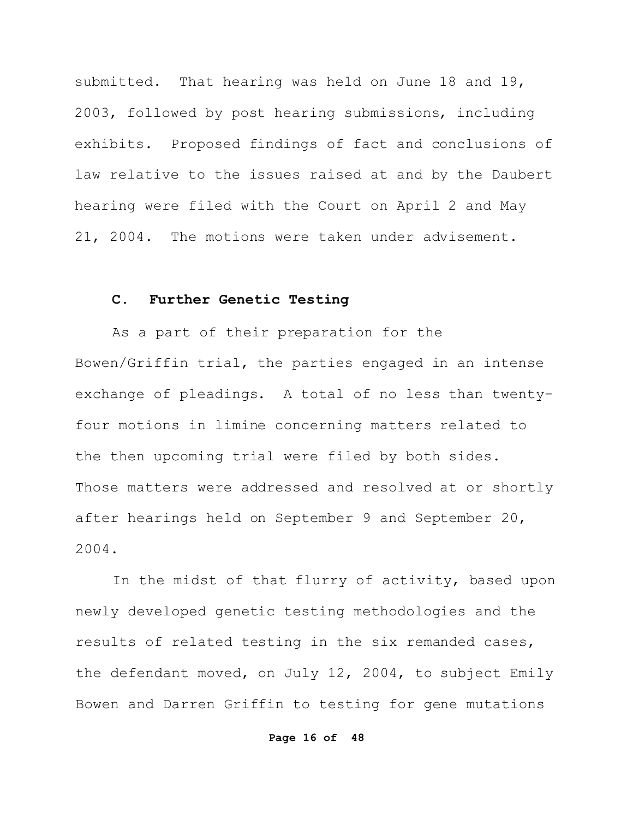submitted. That hearing was held on June 18 and 19, 2003, followed by post hearing submissions, including exhibits. Proposed findings of fact and conclusions of law relative to the issues raised at and by the Daubert hearing were filed with the Court on April 2 and May 21, 2004. The motions were taken under advisement.

## **C. Further Genetic Testing**

As a part of their preparation for the Bowen/Griffin trial, the parties engaged in an intense exchange of pleadings. A total of no less than twentyfour motions in limine concerning matters related to the then upcoming trial were filed by both sides. Those matters were addressed and resolved at or shortly after hearings held on September 9 and September 20, 2004.

In the midst of that flurry of activity, based upon newly developed genetic testing methodologies and the results of related testing in the six remanded cases, the defendant moved, on July 12, 2004, to subject Emily Bowen and Darren Griffin to testing for gene mutations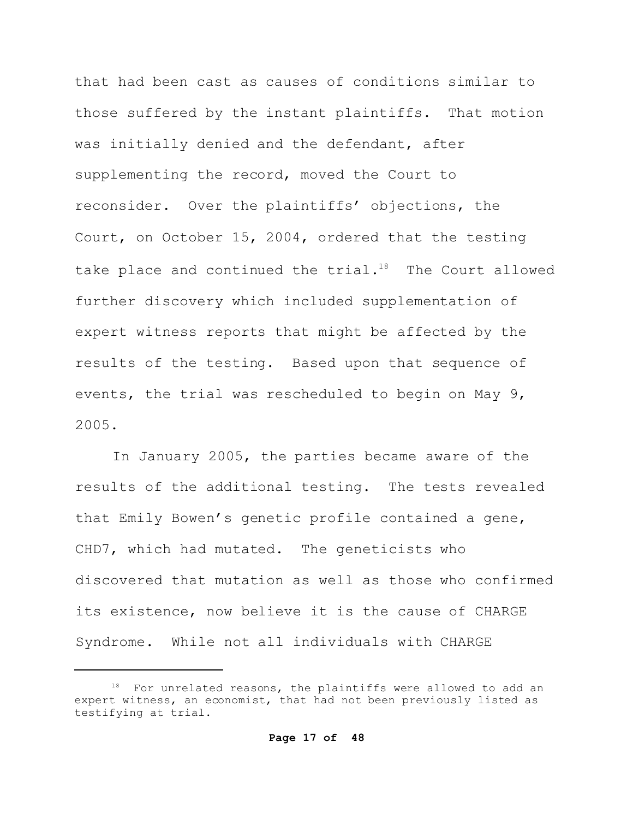that had been cast as causes of conditions similar to those suffered by the instant plaintiffs. That motion was initially denied and the defendant, after supplementing the record, moved the Court to reconsider. Over the plaintiffs' objections, the Court, on October 15, 2004, ordered that the testing take place and continued the trial.<sup>18</sup> The Court allowed further discovery which included supplementation of expert witness reports that might be affected by the results of the testing. Based upon that sequence of events, the trial was rescheduled to begin on May 9, 2005.

In January 2005, the parties became aware of the results of the additional testing. The tests revealed that Emily Bowen's genetic profile contained a gene, CHD7, which had mutated. The geneticists who discovered that mutation as well as those who confirmed its existence, now believe it is the cause of CHARGE Syndrome. While not all individuals with CHARGE

For unrelated reasons, the plaintiffs were allowed to add an expert witness, an economist, that had not been previously listed as testifying at trial.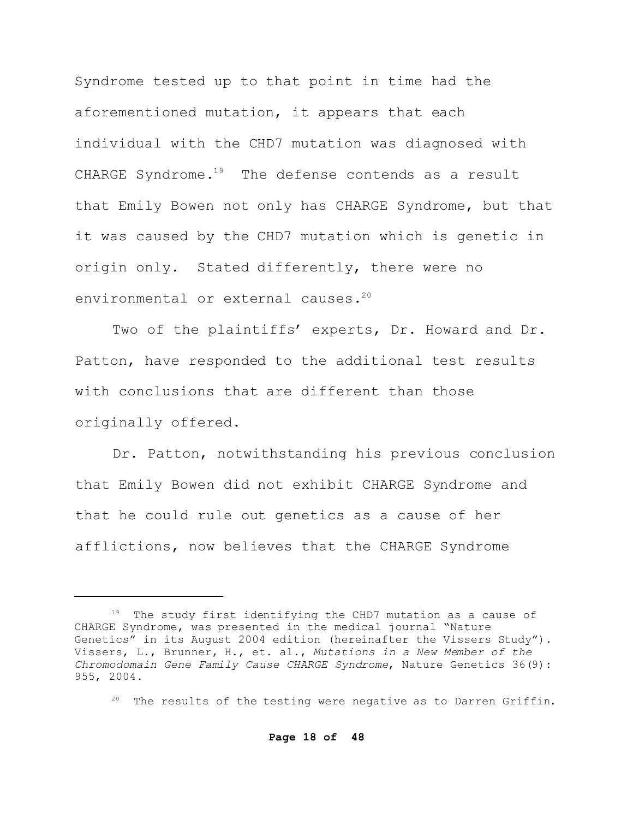Syndrome tested up to that point in time had the aforementioned mutation, it appears that each individual with the CHD7 mutation was diagnosed with CHARGE Syndrome.<sup>19</sup> The defense contends as a result that Emily Bowen not only has CHARGE Syndrome, but that it was caused by the CHD7 mutation which is genetic in origin only. Stated differently, there were no environmental or external causes.<sup>20</sup>

Two of the plaintiffs' experts, Dr. Howard and Dr. Patton, have responded to the additional test results with conclusions that are different than those originally offered.

Dr. Patton, notwithstanding his previous conclusion that Emily Bowen did not exhibit CHARGE Syndrome and that he could rule out genetics as a cause of her afflictions, now believes that the CHARGE Syndrome

<sup>&</sup>lt;sup>19</sup> The study first identifying the CHD7 mutation as a cause of CHARGE Syndrome, was presented in the medical journal "Nature Genetics" in its August 2004 edition (hereinafter the Vissers Study"). Vissers, L., Brunner, H., et. al., *Mutations in a New Member of the Chromodomain Gene Family Cause CHARGE Syndrome*, Nature Genetics 36(9): 955, 2004.

 $20$  The results of the testing were negative as to Darren Griffin.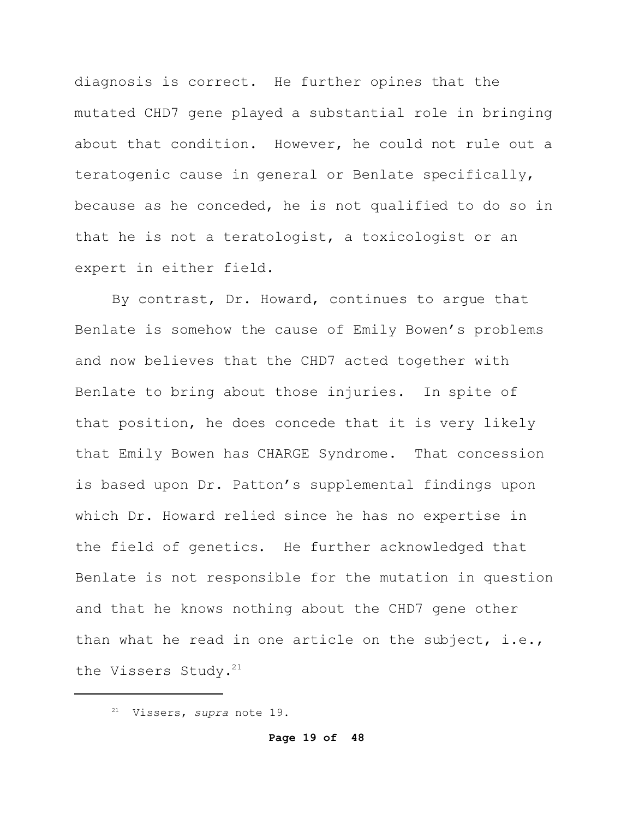diagnosis is correct. He further opines that the mutated CHD7 gene played a substantial role in bringing about that condition. However, he could not rule out a teratogenic cause in general or Benlate specifically, because as he conceded, he is not qualified to do so in that he is not a teratologist, a toxicologist or an expert in either field.

By contrast, Dr. Howard, continues to argue that Benlate is somehow the cause of Emily Bowen's problems and now believes that the CHD7 acted together with Benlate to bring about those injuries. In spite of that position, he does concede that it is very likely that Emily Bowen has CHARGE Syndrome. That concession is based upon Dr. Patton's supplemental findings upon which Dr. Howard relied since he has no expertise in the field of genetics. He further acknowledged that Benlate is not responsible for the mutation in question and that he knows nothing about the CHD7 gene other than what he read in one article on the subject, i.e., the Vissers Study.<sup>21</sup>

<sup>21</sup> Vissers, *supra* note 19.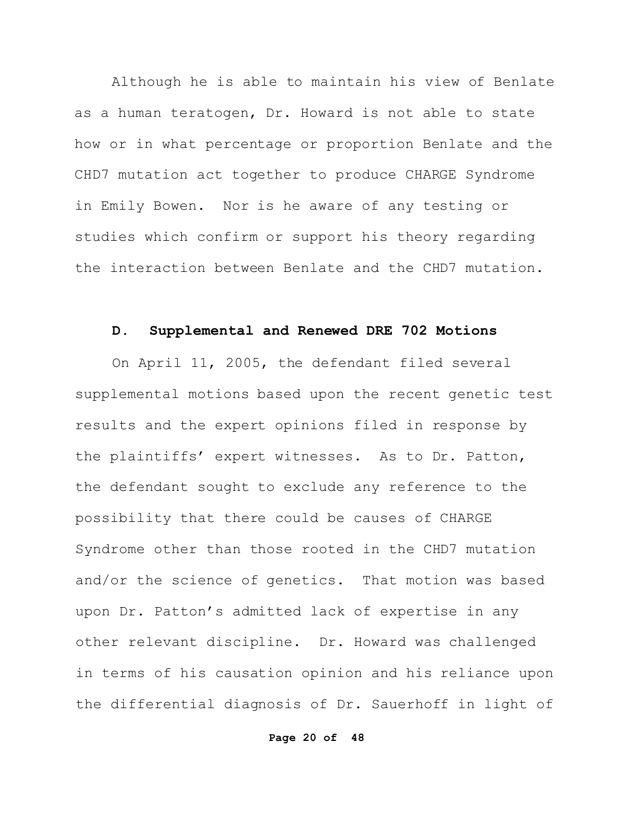Although he is able to maintain his view of Benlate as a human teratogen, Dr. Howard is not able to state how or in what percentage or proportion Benlate and the CHD7 mutation act together to produce CHARGE Syndrome in Emily Bowen. Nor is he aware of any testing or studies which confirm or support his theory regarding the interaction between Benlate and the CHD7 mutation.

## **D. Supplemental and Renewed DRE 702 Motions**

On April 11, 2005, the defendant filed several supplemental motions based upon the recent genetic test results and the expert opinions filed in response by the plaintiffs' expert witnesses. As to Dr. Patton, the defendant sought to exclude any reference to the possibility that there could be causes of CHARGE Syndrome other than those rooted in the CHD7 mutation and/or the science of genetics. That motion was based upon Dr. Patton's admitted lack of expertise in any other relevant discipline. Dr. Howard was challenged in terms of his causation opinion and his reliance upon the differential diagnosis of Dr. Sauerhoff in light of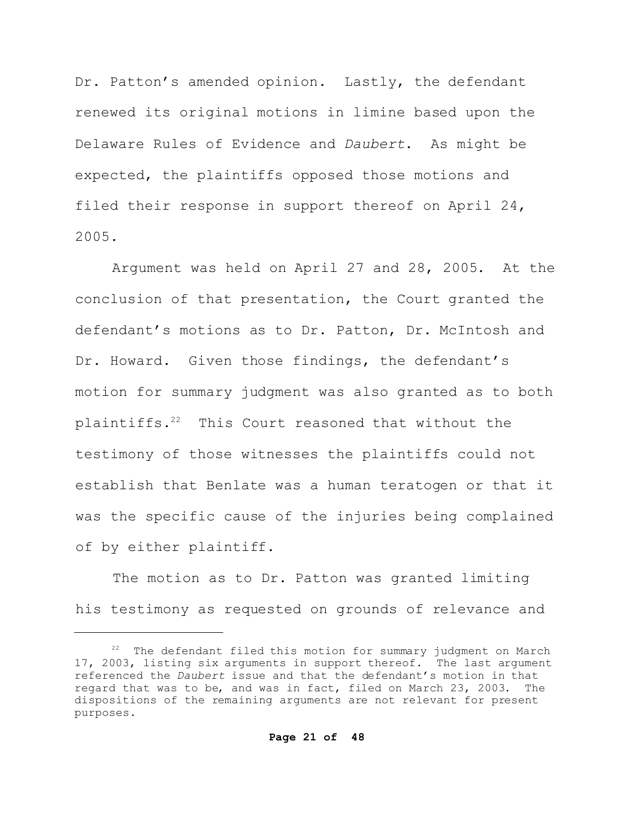Dr. Patton's amended opinion. Lastly, the defendant renewed its original motions in limine based upon the Delaware Rules of Evidence and *Daubert*. As might be expected, the plaintiffs opposed those motions and filed their response in support thereof on April 24, 2005.

Argument was held on April 27 and 28, 2005. At the conclusion of that presentation, the Court granted the defendant's motions as to Dr. Patton, Dr. McIntosh and Dr. Howard. Given those findings, the defendant's motion for summary judgment was also granted as to both plaintiffs.<sup>22</sup> This Court reasoned that without the testimony of those witnesses the plaintiffs could not establish that Benlate was a human teratogen or that it was the specific cause of the injuries being complained of by either plaintiff.

The motion as to Dr. Patton was granted limiting his testimony as requested on grounds of relevance and

<sup>&</sup>lt;sup>22</sup> The defendant filed this motion for summary judgment on March 17, 2003, listing six arguments in support thereof. The last argument referenced the *Daubert* issue and that the defendant's motion in that regard that was to be, and was in fact, filed on March 23, 2003. The dispositions of the remaining arguments are not relevant for present purposes.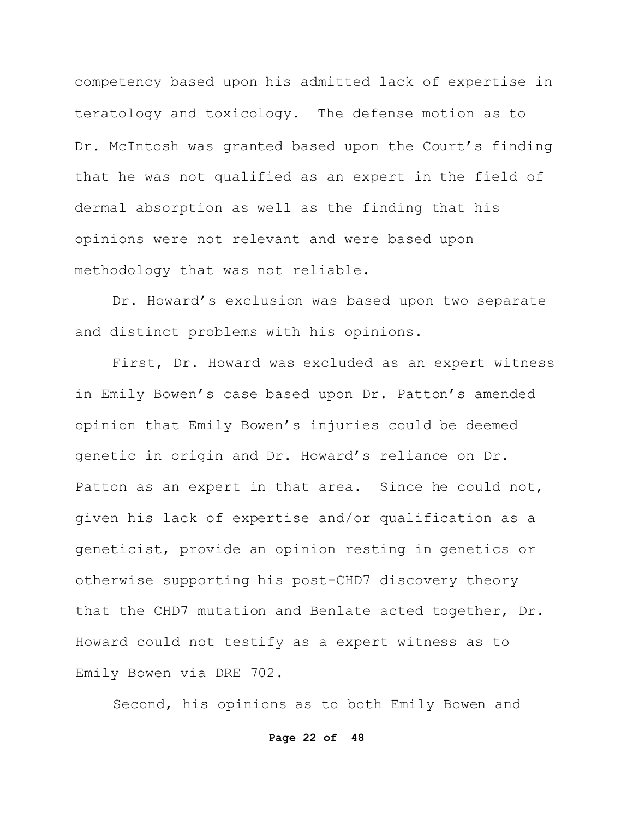competency based upon his admitted lack of expertise in teratology and toxicology. The defense motion as to Dr. McIntosh was granted based upon the Court's finding that he was not qualified as an expert in the field of dermal absorption as well as the finding that his opinions were not relevant and were based upon methodology that was not reliable.

Dr. Howard's exclusion was based upon two separate and distinct problems with his opinions.

First, Dr. Howard was excluded as an expert witness in Emily Bowen's case based upon Dr. Patton's amended opinion that Emily Bowen's injuries could be deemed genetic in origin and Dr. Howard's reliance on Dr. Patton as an expert in that area. Since he could not, given his lack of expertise and/or qualification as a geneticist, provide an opinion resting in genetics or otherwise supporting his post-CHD7 discovery theory that the CHD7 mutation and Benlate acted together, Dr. Howard could not testify as a expert witness as to Emily Bowen via DRE 702.

Second, his opinions as to both Emily Bowen and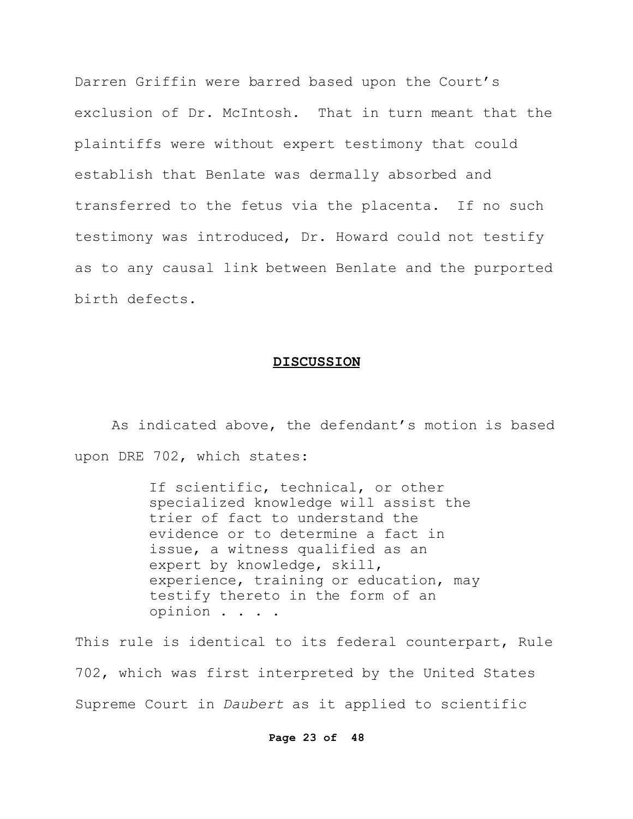Darren Griffin were barred based upon the Court's exclusion of Dr. McIntosh. That in turn meant that the plaintiffs were without expert testimony that could establish that Benlate was dermally absorbed and transferred to the fetus via the placenta. If no such testimony was introduced, Dr. Howard could not testify as to any causal link between Benlate and the purported birth defects.

#### **DISCUSSION**

As indicated above, the defendant's motion is based upon DRE 702, which states:

> If scientific, technical, or other specialized knowledge will assist the trier of fact to understand the evidence or to determine a fact in issue, a witness qualified as an expert by knowledge, skill, experience, training or education, may testify thereto in the form of an opinion . . . .

This rule is identical to its federal counterpart, Rule 702, which was first interpreted by the United States Supreme Court in *Daubert* as it applied to scientific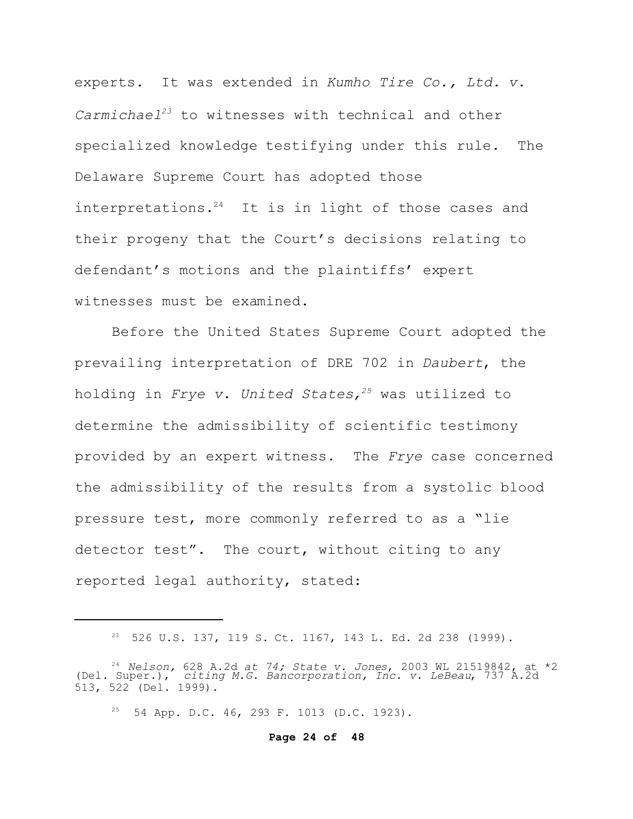experts. It was extended in *Kumho Tire Co., Ltd. v. Carmichael<sup>23</sup>* to witnesses with technical and other specialized knowledge testifying under this rule. The Delaware Supreme Court has adopted those interpretations.<sup>24</sup> It is in light of those cases and their progeny that the Court's decisions relating to defendant's motions and the plaintiffs' expert witnesses must be examined.

Before the United States Supreme Court adopted the prevailing interpretation of DRE 702 in *Daubert*, the holding in *Frye v. United States, <sup>25</sup>* was utilized to determine the admissibility of scientific testimony provided by an expert witness. The *Frye* case concerned the admissibility of the results from a systolic blood pressure test, more commonly referred to as a "lie detector test". The court, without citing to any reported legal authority, stated:

<sup>23</sup> 526 U.S. 137, 119 S. Ct. 1167, 143 L. Ed. 2d 238 (1999).

<sup>24</sup>*Nelson,* 628 A.2d *at 74; State v. Jones*, 2003 WL 21519842, at \*2 (Del. Super.), *citing M.G. Bancorporation, Inc. v. LeBeau*, 737 A.2d 513, 522 (Del. 1999).

<sup>25</sup> 54 App. D.C. 46, 293 F. 1013 (D.C. 1923).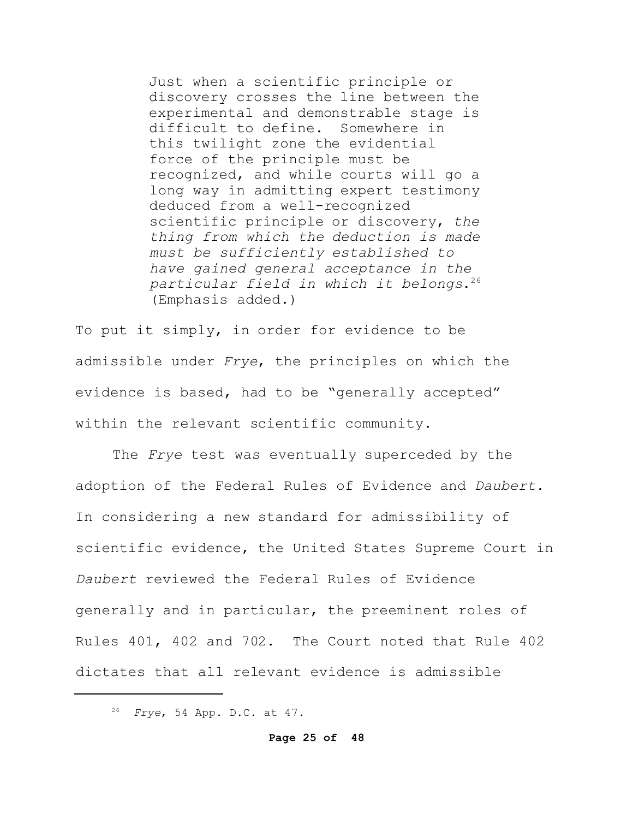Just when a scientific principle or discovery crosses the line between the experimental and demonstrable stage is difficult to define. Somewhere in this twilight zone the evidential force of the principle must be recognized, and while courts will go a long way in admitting expert testimony deduced from a well-recognized scientific principle or discovery, *the thing from which the deduction is made must be sufficiently established to have gained general acceptance in the particular field in which it belongs*. 26 (Emphasis added.)

To put it simply, in order for evidence to be admissible under *Frye*, the principles on which the evidence is based, had to be "generally accepted" within the relevant scientific community.

The *Frye* test was eventually superceded by the adoption of the Federal Rules of Evidence and *Daubert.*  In considering a new standard for admissibility of scientific evidence, the United States Supreme Court in *Daubert* reviewed the Federal Rules of Evidence generally and in particular, the preeminent roles of Rules 401, 402 and 702. The Court noted that Rule 402 dictates that all relevant evidence is admissible

<sup>26</sup> *Frye*, 54 App. D.C. at 47.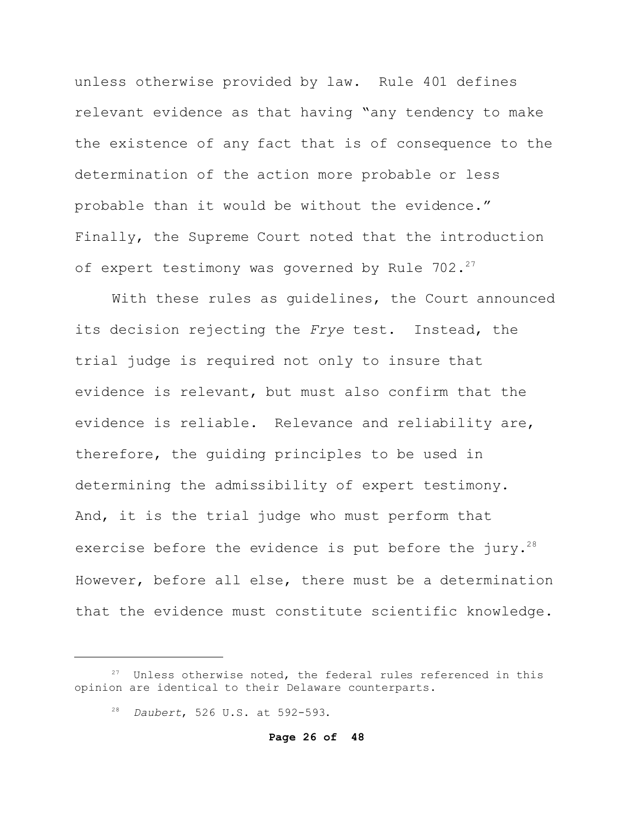unless otherwise provided by law. Rule 401 defines relevant evidence as that having "any tendency to make the existence of any fact that is of consequence to the determination of the action more probable or less probable than it would be without the evidence." Finally, the Supreme Court noted that the introduction of expert testimony was governed by Rule  $702.^{27}$ 

With these rules as guidelines, the Court announced its decision rejecting the *Frye* test. Instead, the trial judge is required not only to insure that evidence is relevant, but must also confirm that the evidence is reliable. Relevance and reliability are, therefore, the guiding principles to be used in determining the admissibility of expert testimony. And, it is the trial judge who must perform that exercise before the evidence is put before the jury.<sup>28</sup> However, before all else, there must be a determination that the evidence must constitute scientific knowledge.

 $27$  Unless otherwise noted, the federal rules referenced in this opinion are identical to their Delaware counterparts.

<sup>28</sup> *Daubert*, 526 U.S. at 592-593.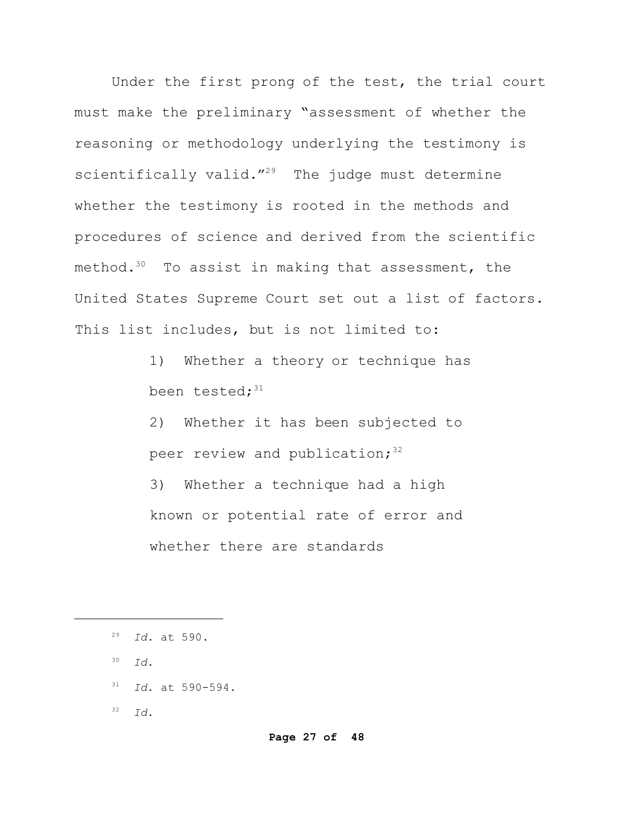Under the first prong of the test, the trial court must make the preliminary "assessment of whether the reasoning or methodology underlying the testimony is scientifically valid."<sup>29</sup> The judge must determine whether the testimony is rooted in the methods and procedures of science and derived from the scientific method. $30$  To assist in making that assessment, the United States Supreme Court set out a list of factors. This list includes, but is not limited to:

> 1) Whether a theory or technique has been tested: $31$

2) Whether it has been subjected to peer review and publication; $32$ 3) Whether a technique had a high known or potential rate of error and whether there are standards

- <sup>30</sup> *Id*.
- <sup>31</sup> *Id*. at 590-594.

<sup>32</sup> *Id*.

<sup>29</sup> *Id*. at 590.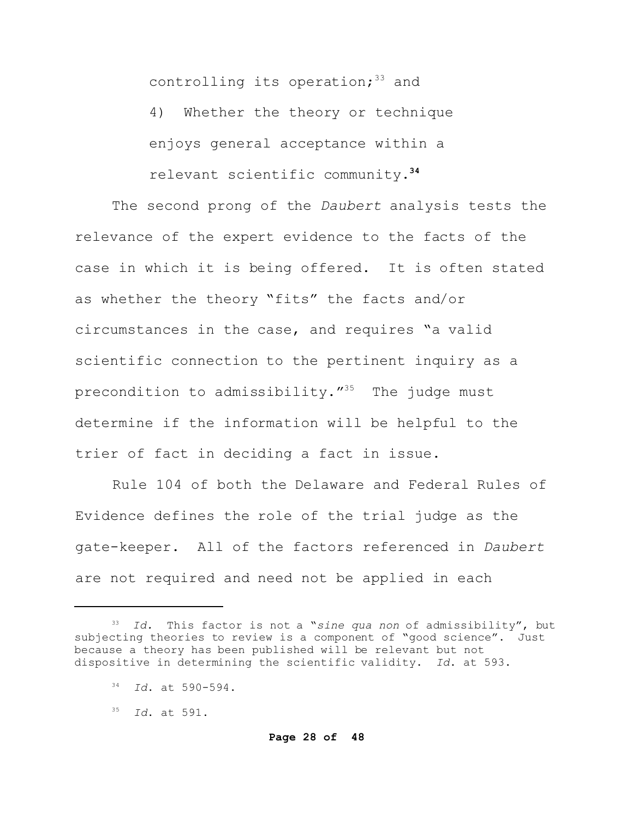controlling its operation; $33$  and

4) Whether the theory or technique enjoys general acceptance within a relevant scientific community.**<sup>34</sup>**

The second prong of the *Daubert* analysis tests the relevance of the expert evidence to the facts of the case in which it is being offered. It is often stated as whether the theory "fits" the facts and/or circumstances in the case, and requires "a valid scientific connection to the pertinent inquiry as a precondition to admissibility."<sup>35</sup> The judge must determine if the information will be helpful to the trier of fact in deciding a fact in issue.

Rule 104 of both the Delaware and Federal Rules of Evidence defines the role of the trial judge as the gate-keeper. All of the factors referenced in *Daubert* are not required and need not be applied in each

<sup>33</sup> *Id.* This factor is not a "*sine qua non* of admissibility", but subjecting theories to review is a component of "good science". Just because a theory has been published will be relevant but not dispositive in determining the scientific validity. *Id*. at 593.

<sup>34</sup> *Id*. at 590-594.

<sup>35</sup> *Id*. at 591.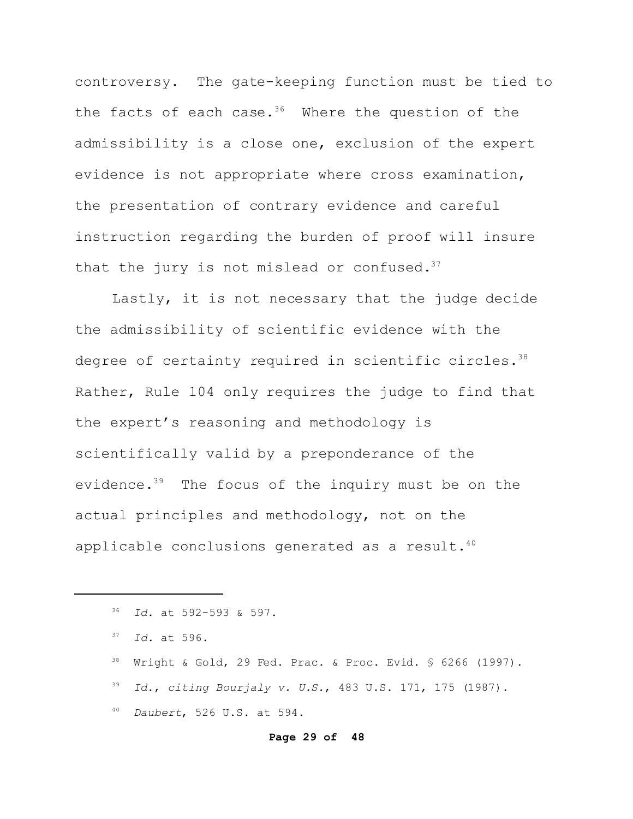controversy. The gate-keeping function must be tied to the facts of each case.<sup>36</sup> Where the question of the admissibility is a close one, exclusion of the expert evidence is not appropriate where cross examination, the presentation of contrary evidence and careful instruction regarding the burden of proof will insure that the jury is not mislead or confused. $37$ 

Lastly, it is not necessary that the judge decide the admissibility of scientific evidence with the degree of certainty required in scientific circles.<sup>38</sup> Rather, Rule 104 only requires the judge to find that the expert's reasoning and methodology is scientifically valid by a preponderance of the evidence.<sup>39</sup> The focus of the inquiry must be on the actual principles and methodology, not on the applicable conclusions generated as a result.<sup>40</sup>

#### **Page 29 of 48**

<sup>36</sup> *Id.* at 592-593 & 597.

<sup>37</sup> *Id.* at 596.

 $38$  Wright & Gold, 29 Fed. Prac. & Proc. Evid. § 6266 (1997).

<sup>39</sup> *Id*., *citing Bourjaly v. U.S.*, 483 U.S. 171, 175 (1987).

<sup>40</sup> *Daubert*, 526 U.S. at 594.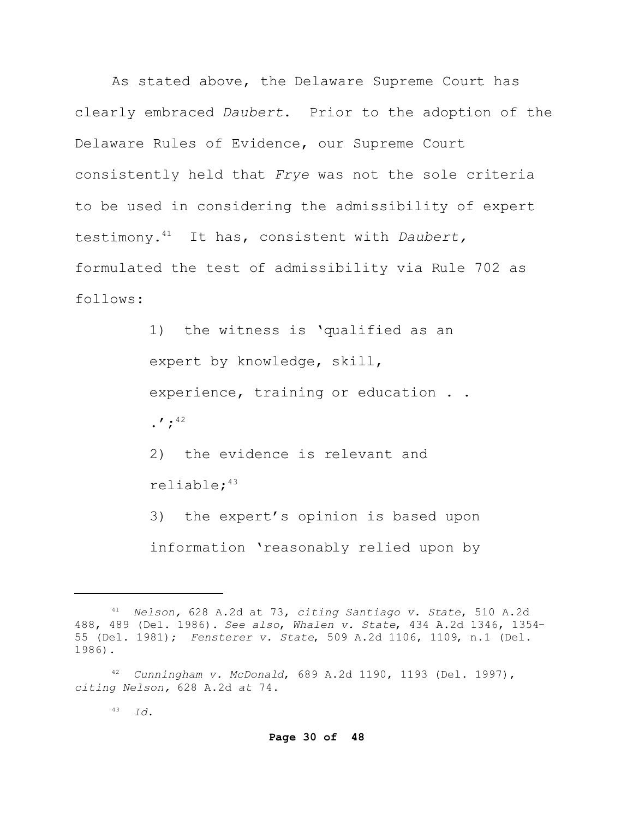As stated above, the Delaware Supreme Court has clearly embraced *Daubert*. Prior to the adoption of the Delaware Rules of Evidence, our Supreme Court consistently held that *Frye* was not the sole criteria to be used in considering the admissibility of expert testimony.<sup>41</sup> It has, consistent with *Daubert,* formulated the test of admissibility via Rule 702 as follows:

> 1) the witness is 'qualified as an expert by knowledge, skill, experience, training or education . . .';<sup>42</sup> 2) the evidence is relevant and reliable;<sup>43</sup> 3) the expert's opinion is based upon

information 'reasonably relied upon by

<sup>41</sup> *Nelson,* 628 A.2d at 73, *citing Santiago v. State*, 510 A.2d 488, 489 (Del. 1986). *See also*, *Whalen v. State*, 434 A.2d 1346, 1354- 55 (Del. 1981); *Fensterer v. State*, 509 A.2d 1106, 1109, n.1 (Del. 1986).

<sup>42</sup> *Cunningham v. McDonald*, 689 A.2d 1190, 1193 (Del. 1997), *citing Nelson,* 628 A.2d *at* 74.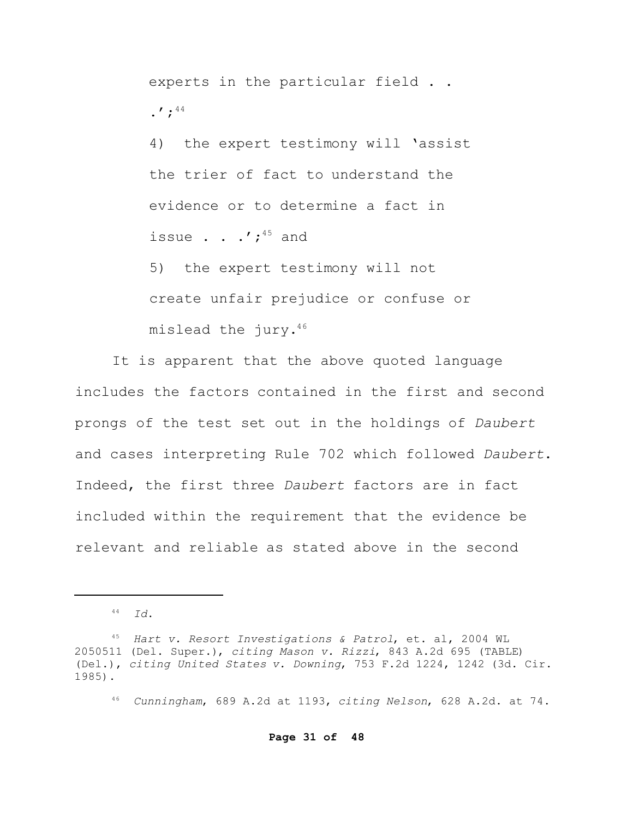experts in the particular field . .  $\cdot$   $\cdot$   $\cdot$   $\cdot$   $\cdot$   $\cdot$   $\cdot$   $\cdot$ 

4) the expert testimony will 'assist the trier of fact to understand the evidence or to determine a fact in issue  $\cdot$  .  $\cdot'$ ;<sup>45</sup> and

5) the expert testimony will not create unfair prejudice or confuse or mislead the jury.<sup>46</sup>

It is apparent that the above quoted language includes the factors contained in the first and second prongs of the test set out in the holdings of *Daubert* and cases interpreting Rule 702 which followed *Daubert*. Indeed, the first three *Daubert* factors are in fact included within the requirement that the evidence be relevant and reliable as stated above in the second

<sup>44</sup> *Id*.

<sup>45</sup> *Hart v. Resort Investigations & Patrol*, et. al, 2004 WL 2050511 (Del. Super.), *citing Mason v. Rizzi*, 843 A.2d 695 (TABLE) (Del.), *citing United States v. Downing*, 753 F.2d 1224, 1242 (3d. Cir. 1985).

<sup>46</sup> *Cunningham*, 689 A.2d at 1193, *citing Nelson*, 628 A.2d. at 74.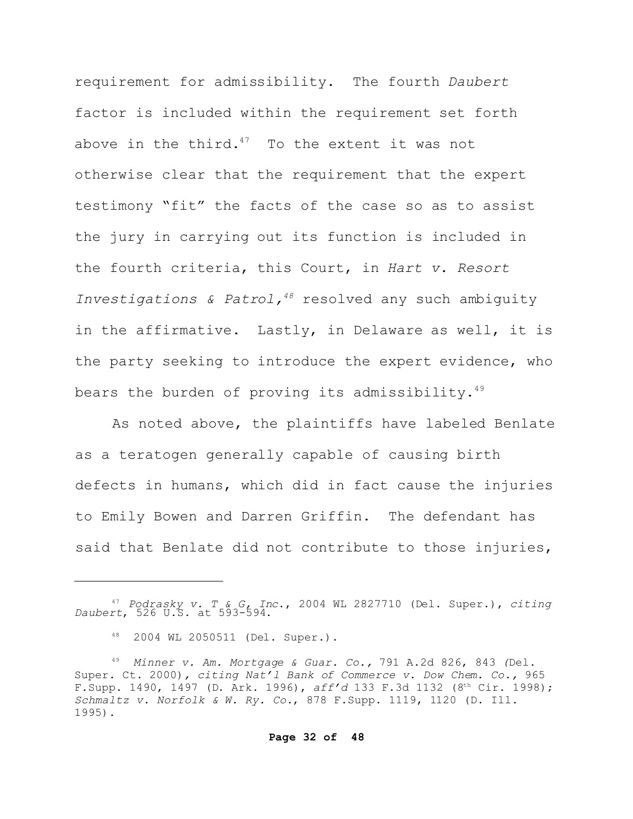requirement for admissibility. The fourth *Daubert* factor is included within the requirement set forth above in the third. $47$  To the extent it was not otherwise clear that the requirement that the expert testimony "fit" the facts of the case so as to assist the jury in carrying out its function is included in the fourth criteria, this Court, in *Hart v. Resort Investigations & Patrol,<sup>48</sup>* resolved any such ambiguity in the affirmative. Lastly, in Delaware as well, it is the party seeking to introduce the expert evidence, who bears the burden of proving its admissibility. $49$ 

As noted above, the plaintiffs have labeled Benlate as a teratogen generally capable of causing birth defects in humans, which did in fact cause the injuries to Emily Bowen and Darren Griffin. The defendant has said that Benlate did not contribute to those injuries,

<sup>47</sup>*Podrasky v. T & G, Inc*., 2004 WL 2827710 (Del. Super.), *citing Daubert*, 526 U.S. at 593-594.

<sup>48</sup> 2004 WL 2050511 (Del. Super.).

<sup>49</sup> *Minner v. Am. Mortgage & Guar. Co.,* 791 A.2d 826, 843 *(*Del. Super. Ct. 2000)*, citing Nat'l Bank of Commerce v. Dow Chem. Co.,* 965 F.Supp. 1490, 1497 (D. Ark. 1996), *aff'd* 133 F.3d 1132 (8th Cir. 1998); *Schmaltz v. Norfolk & W. Ry. Co.*, 878 F.Supp. 1119, 1120 (D. Ill. 1995).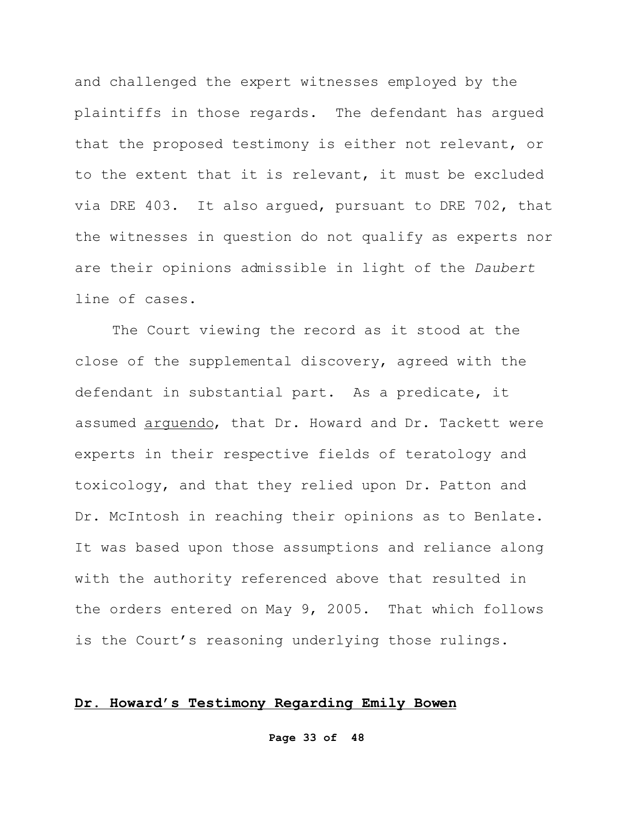and challenged the expert witnesses employed by the plaintiffs in those regards. The defendant has argued that the proposed testimony is either not relevant, or to the extent that it is relevant, it must be excluded via DRE 403. It also argued, pursuant to DRE 702, that the witnesses in question do not qualify as experts nor are their opinions admissible in light of the *Daubert* line of cases.

The Court viewing the record as it stood at the close of the supplemental discovery, agreed with the defendant in substantial part. As a predicate, it assumed arguendo, that Dr. Howard and Dr. Tackett were experts in their respective fields of teratology and toxicology, and that they relied upon Dr. Patton and Dr. McIntosh in reaching their opinions as to Benlate. It was based upon those assumptions and reliance along with the authority referenced above that resulted in the orders entered on May 9, 2005. That which follows is the Court's reasoning underlying those rulings.

## **Dr. Howard's Testimony Regarding Emily Bowen**

**Page 33 of 48**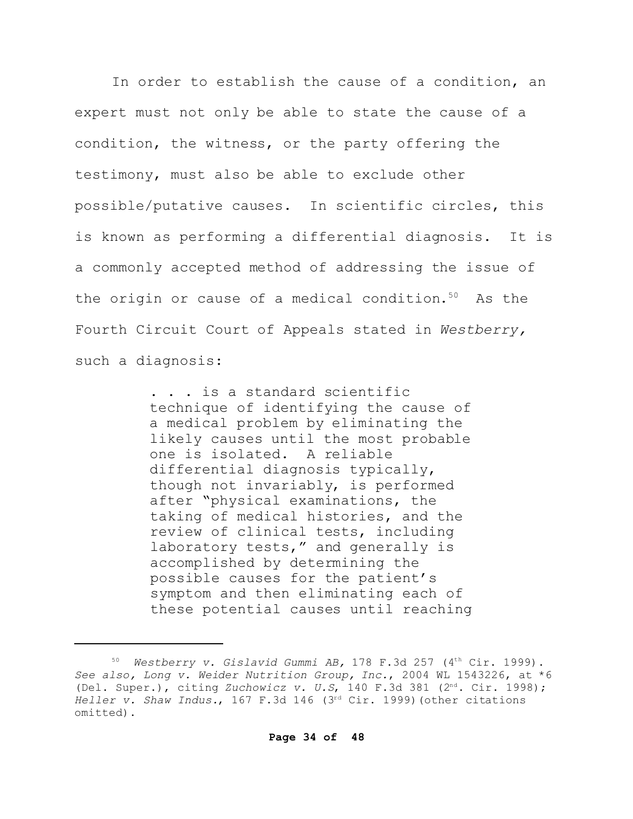In order to establish the cause of a condition, an expert must not only be able to state the cause of a condition, the witness, or the party offering the testimony, must also be able to exclude other possible/putative causes. In scientific circles, this is known as performing a differential diagnosis. It is a commonly accepted method of addressing the issue of the origin or cause of a medical condition.<sup>50</sup> As the Fourth Circuit Court of Appeals stated in *Westberry,* such a diagnosis:

> . . . is a standard scientific technique of identifying the cause of a medical problem by eliminating the likely causes until the most probable one is isolated. A reliable differential diagnosis typically, though not invariably, is performed after "physical examinations, the taking of medical histories, and the review of clinical tests, including laboratory tests," and generally is accomplished by determining the possible causes for the patient's symptom and then eliminating each of these potential causes until reaching

<sup>50</sup> *Westberry v. Gislavid Gummi AB,* 178 F.3d 257 (4th Cir. 1999). *See also, Long v. Weider Nutrition Group, Inc.*, 2004 WL 1543226, at \*6 (Del. Super.), citing *Zuchowicz v. U.S*, 140 F.3d 381 (2nd. Cir. 1998); *Heller v. Shaw Indus.*, 167 F.3d 146 (3rd Cir. 1999)(other citations omitted).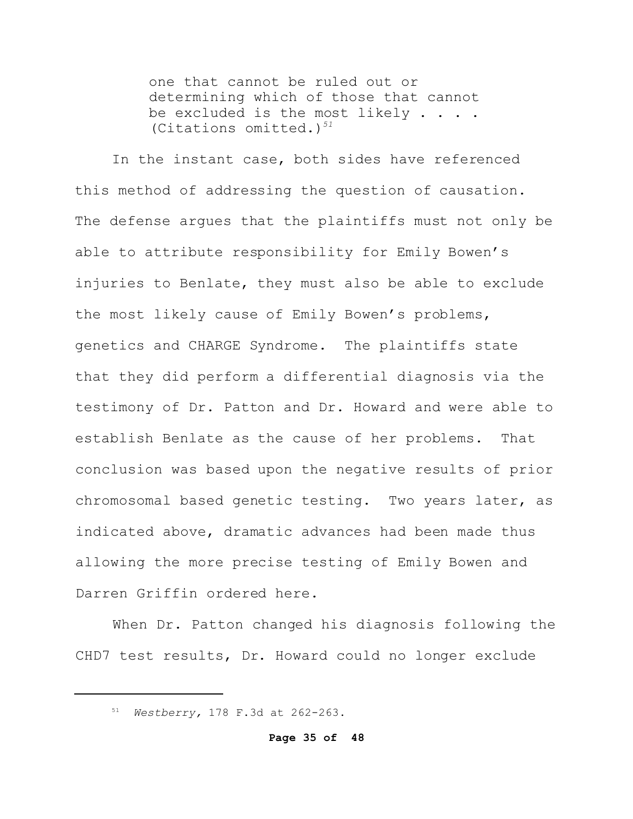one that cannot be ruled out or determining which of those that cannot be excluded is the most likely . . . . (Citations omitted.)*<sup>51</sup>*

In the instant case, both sides have referenced this method of addressing the question of causation. The defense argues that the plaintiffs must not only be able to attribute responsibility for Emily Bowen's injuries to Benlate, they must also be able to exclude the most likely cause of Emily Bowen's problems, genetics and CHARGE Syndrome. The plaintiffs state that they did perform a differential diagnosis via the testimony of Dr. Patton and Dr. Howard and were able to establish Benlate as the cause of her problems. That conclusion was based upon the negative results of prior chromosomal based genetic testing. Two years later, as indicated above, dramatic advances had been made thus allowing the more precise testing of Emily Bowen and Darren Griffin ordered here.

When Dr. Patton changed his diagnosis following the CHD7 test results, Dr. Howard could no longer exclude

<sup>51</sup> *Westberry,* 178 F.3d at 262-263.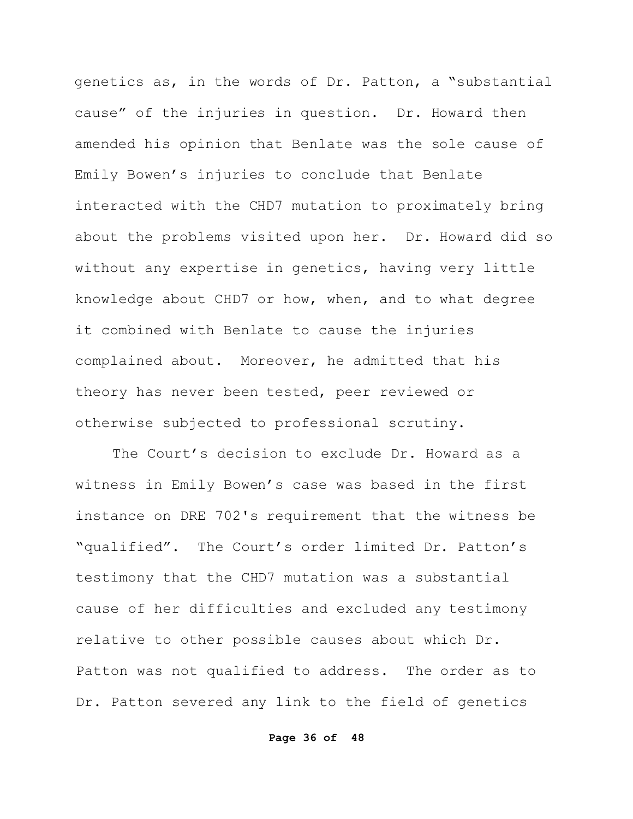genetics as, in the words of Dr. Patton, a "substantial cause" of the injuries in question. Dr. Howard then amended his opinion that Benlate was the sole cause of Emily Bowen's injuries to conclude that Benlate interacted with the CHD7 mutation to proximately bring about the problems visited upon her. Dr. Howard did so without any expertise in genetics, having very little knowledge about CHD7 or how, when, and to what degree it combined with Benlate to cause the injuries complained about. Moreover, he admitted that his theory has never been tested, peer reviewed or otherwise subjected to professional scrutiny.

The Court's decision to exclude Dr. Howard as a witness in Emily Bowen's case was based in the first instance on DRE 702's requirement that the witness be "qualified". The Court's order limited Dr. Patton's testimony that the CHD7 mutation was a substantial cause of her difficulties and excluded any testimony relative to other possible causes about which Dr. Patton was not qualified to address. The order as to Dr. Patton severed any link to the field of genetics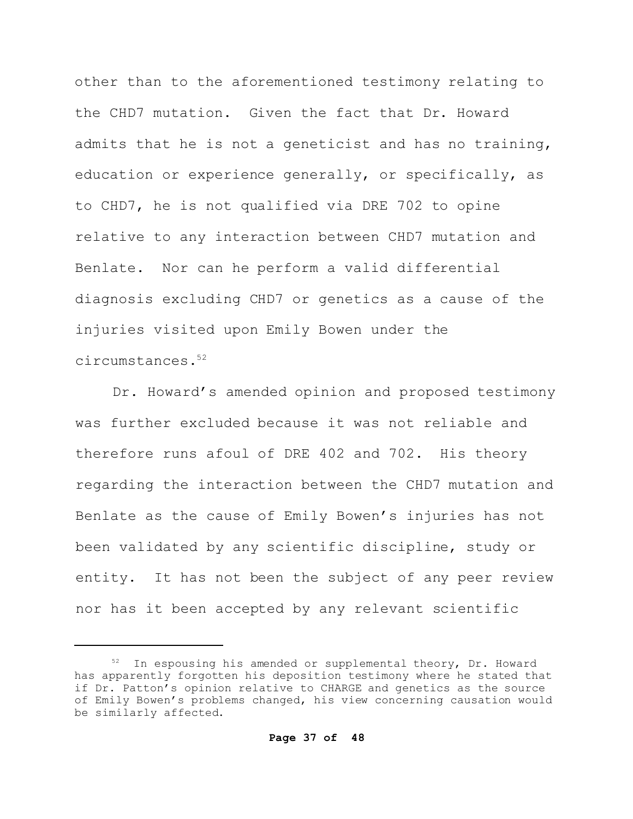other than to the aforementioned testimony relating to the CHD7 mutation. Given the fact that Dr. Howard admits that he is not a geneticist and has no training, education or experience generally, or specifically, as to CHD7, he is not qualified via DRE 702 to opine relative to any interaction between CHD7 mutation and Benlate. Nor can he perform a valid differential diagnosis excluding CHD7 or genetics as a cause of the injuries visited upon Emily Bowen under the circumstances.<sup>52</sup>

Dr. Howard's amended opinion and proposed testimony was further excluded because it was not reliable and therefore runs afoul of DRE 402 and 702. His theory regarding the interaction between the CHD7 mutation and Benlate as the cause of Emily Bowen's injuries has not been validated by any scientific discipline, study or entity. It has not been the subject of any peer review nor has it been accepted by any relevant scientific

 $52$  In espousing his amended or supplemental theory, Dr. Howard has apparently forgotten his deposition testimony where he stated that if Dr. Patton's opinion relative to CHARGE and genetics as the source of Emily Bowen's problems changed, his view concerning causation would be similarly affected.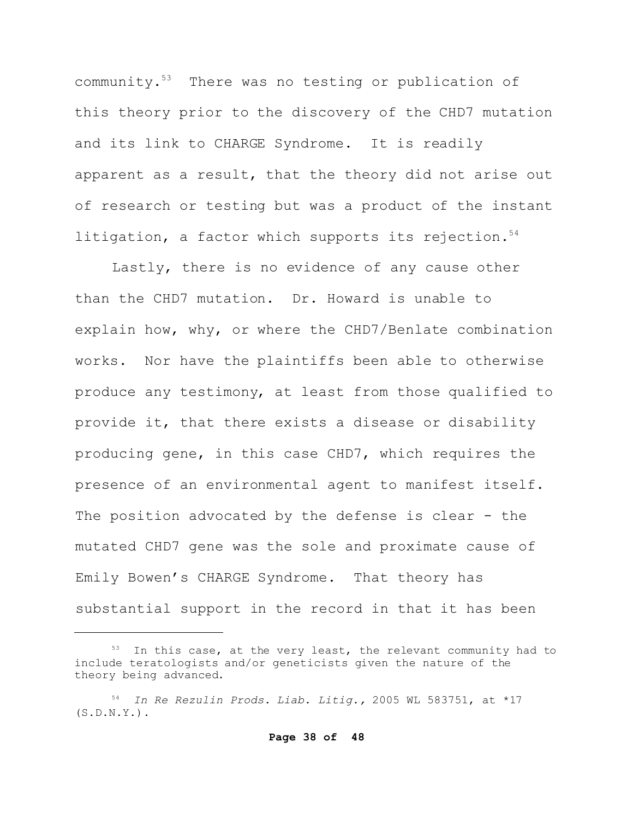community.<sup>53</sup> There was no testing or publication of this theory prior to the discovery of the CHD7 mutation and its link to CHARGE Syndrome. It is readily apparent as a result, that the theory did not arise out of research or testing but was a product of the instant litigation, a factor which supports its rejection. $54$ 

Lastly, there is no evidence of any cause other than the CHD7 mutation. Dr. Howard is unable to explain how, why, or where the CHD7/Benlate combination works. Nor have the plaintiffs been able to otherwise produce any testimony, at least from those qualified to provide it, that there exists a disease or disability producing gene, in this case CHD7, which requires the presence of an environmental agent to manifest itself. The position advocated by the defense is clear - the mutated CHD7 gene was the sole and proximate cause of Emily Bowen's CHARGE Syndrome. That theory has substantial support in the record in that it has been

<sup>&</sup>lt;sup>53</sup> In this case, at the very least, the relevant community had to include teratologists and/or geneticists given the nature of the theory being advanced.

<sup>54</sup> *In Re Rezulin Prods. Liab. Litig.,* 2005 WL 583751, at \*17  $(S.D.N.Y.)$ .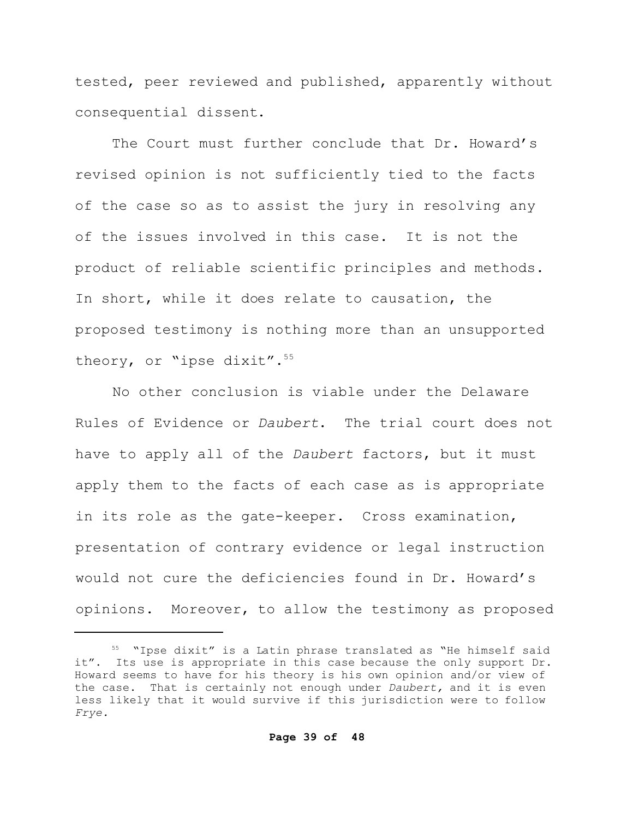tested, peer reviewed and published, apparently without consequential dissent.

The Court must further conclude that Dr. Howard's revised opinion is not sufficiently tied to the facts of the case so as to assist the jury in resolving any of the issues involved in this case. It is not the product of reliable scientific principles and methods. In short, while it does relate to causation, the proposed testimony is nothing more than an unsupported theory, or "ipse dixit".<sup>55</sup>

No other conclusion is viable under the Delaware Rules of Evidence or *Daubert*. The trial court does not have to apply all of the *Daubert* factors, but it must apply them to the facts of each case as is appropriate in its role as the gate-keeper. Cross examination, presentation of contrary evidence or legal instruction would not cure the deficiencies found in Dr. Howard's opinions. Moreover, to allow the testimony as proposed

<sup>55</sup> "Ipse dixit" is a Latin phrase translated as "He himself said it". Its use is appropriate in this case because the only support Dr. Howard seems to have for his theory is his own opinion and/or view of the case. That is certainly not enough under *Daubert,* and it is even less likely that it would survive if this jurisdiction were to follow *Frye.*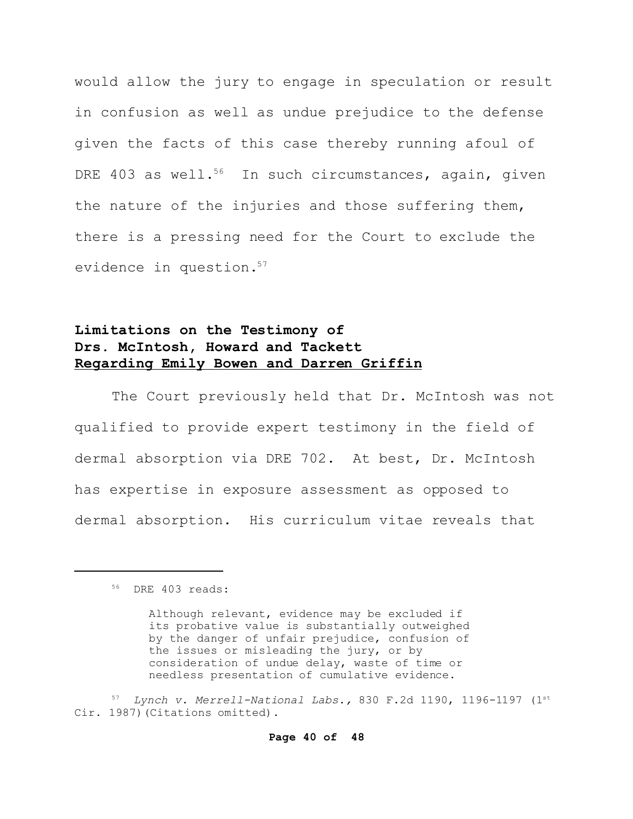would allow the jury to engage in speculation or result in confusion as well as undue prejudice to the defense given the facts of this case thereby running afoul of DRE 403 as well.<sup>56</sup> In such circumstances, again, given the nature of the injuries and those suffering them, there is a pressing need for the Court to exclude the evidence in question.<sup>57</sup>

# **Limitations on the Testimony of Drs. McIntosh, Howard and Tackett Regarding Emily Bowen and Darren Griffin**

The Court previously held that Dr. McIntosh was not qualified to provide expert testimony in the field of dermal absorption via DRE 702. At best, Dr. McIntosh has expertise in exposure assessment as opposed to dermal absorption. His curriculum vitae reveals that

<sup>56</sup> DRE 403 reads:

Although relevant, evidence may be excluded if its probative value is substantially outweighed by the danger of unfair prejudice, confusion of the issues or misleading the jury, or by consideration of undue delay, waste of time or needless presentation of cumulative evidence.

<sup>57</sup> *Lynch v. Merrell-National Labs.,* 830 F.2d 1190, 1196-1197 (1st Cir. 1987) (Citations omitted).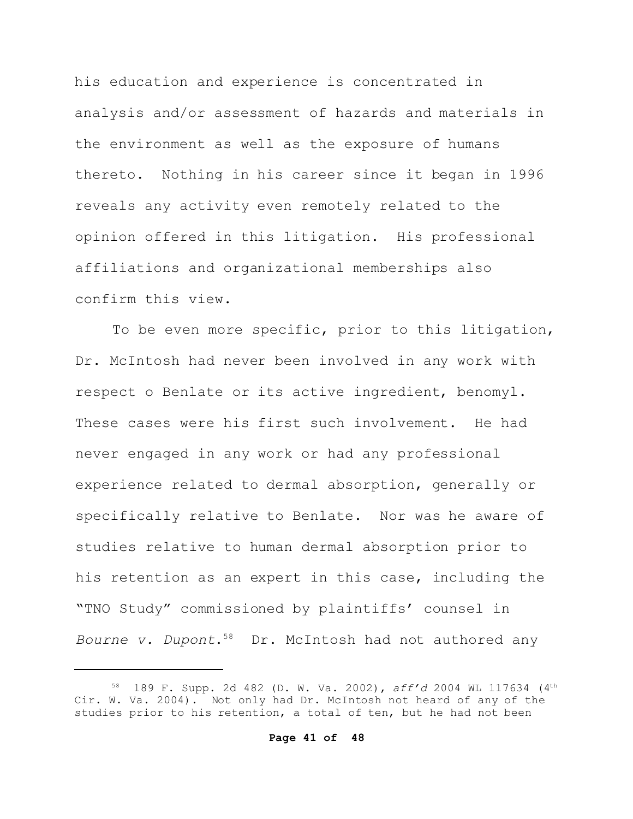his education and experience is concentrated in analysis and/or assessment of hazards and materials in the environment as well as the exposure of humans thereto. Nothing in his career since it began in 1996 reveals any activity even remotely related to the opinion offered in this litigation. His professional affiliations and organizational memberships also confirm this view.

To be even more specific, prior to this litigation, Dr. McIntosh had never been involved in any work with respect o Benlate or its active ingredient, benomyl. These cases were his first such involvement. He had never engaged in any work or had any professional experience related to dermal absorption, generally or specifically relative to Benlate. Nor was he aware of studies relative to human dermal absorption prior to his retention as an expert in this case, including the "TNO Study" commissioned by plaintiffs' counsel in *Bourne v. Dupont*. 58 Dr. McIntosh had not authored any

<sup>58</sup> 189 F. Supp. 2d 482 (D. W. Va. 2002), *aff'd* 2004 WL 117634 (4th Cir. W. Va. 2004). Not only had Dr. McIntosh not heard of any of the studies prior to his retention, a total of ten, but he had not been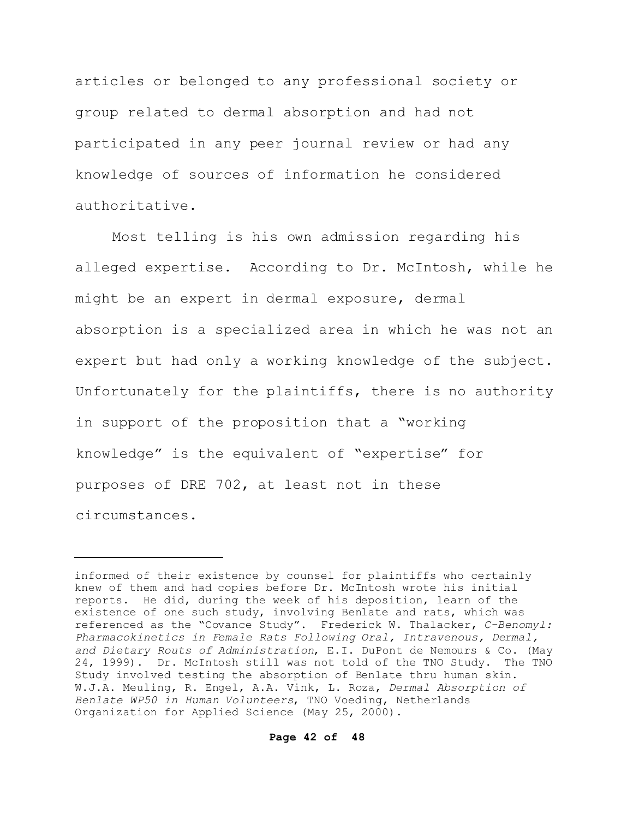articles or belonged to any professional society or group related to dermal absorption and had not participated in any peer journal review or had any knowledge of sources of information he considered authoritative.

Most telling is his own admission regarding his alleged expertise. According to Dr. McIntosh, while he might be an expert in dermal exposure, dermal absorption is a specialized area in which he was not an expert but had only a working knowledge of the subject. Unfortunately for the plaintiffs, there is no authority in support of the proposition that a "working knowledge" is the equivalent of "expertise" for purposes of DRE 702, at least not in these circumstances.

informed of their existence by counsel for plaintiffs who certainly knew of them and had copies before Dr. McIntosh wrote his initial reports. He did, during the week of his deposition, learn of the existence of one such study, involving Benlate and rats, which was referenced as the "Covance Study". Frederick W. Thalacker, *C-Benomyl: Pharmacokinetics in Female Rats Following Oral, Intravenous, Dermal, and Dietary Routs of Administration*, E.I. DuPont de Nemours & Co. (May 24, 1999). Dr. McIntosh still was not told of the TNO Study. The TNO Study involved testing the absorption of Benlate thru human skin. W.J.A. Meuling, R. Engel, A.A. Vink, L. Roza, *Dermal Absorption of Benlate WP50 in Human Volunteers*, TNO Voeding, Netherlands Organization for Applied Science (May 25, 2000).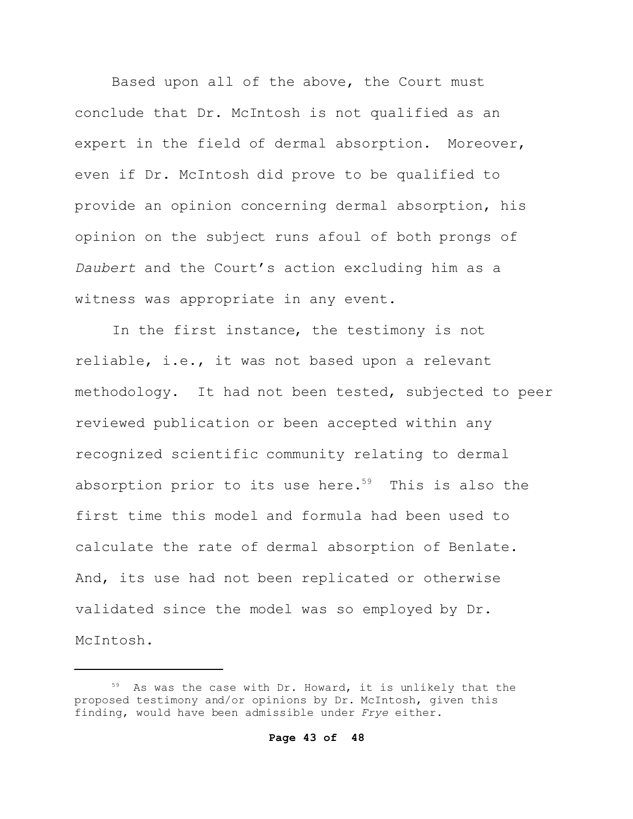Based upon all of the above, the Court must conclude that Dr. McIntosh is not qualified as an expert in the field of dermal absorption. Moreover, even if Dr. McIntosh did prove to be qualified to provide an opinion concerning dermal absorption, his opinion on the subject runs afoul of both prongs of *Daubert* and the Court's action excluding him as a witness was appropriate in any event.

In the first instance, the testimony is not reliable, i.e., it was not based upon a relevant methodology. It had not been tested, subjected to peer reviewed publication or been accepted within any recognized scientific community relating to dermal absorption prior to its use here.<sup>59</sup> This is also the first time this model and formula had been used to calculate the rate of dermal absorption of Benlate. And, its use had not been replicated or otherwise validated since the model was so employed by Dr. McIntosh.

<sup>59</sup> As was the case with Dr. Howard, it is unlikely that the proposed testimony and/or opinions by Dr. McIntosh, given this finding, would have been admissible under *Frye* either.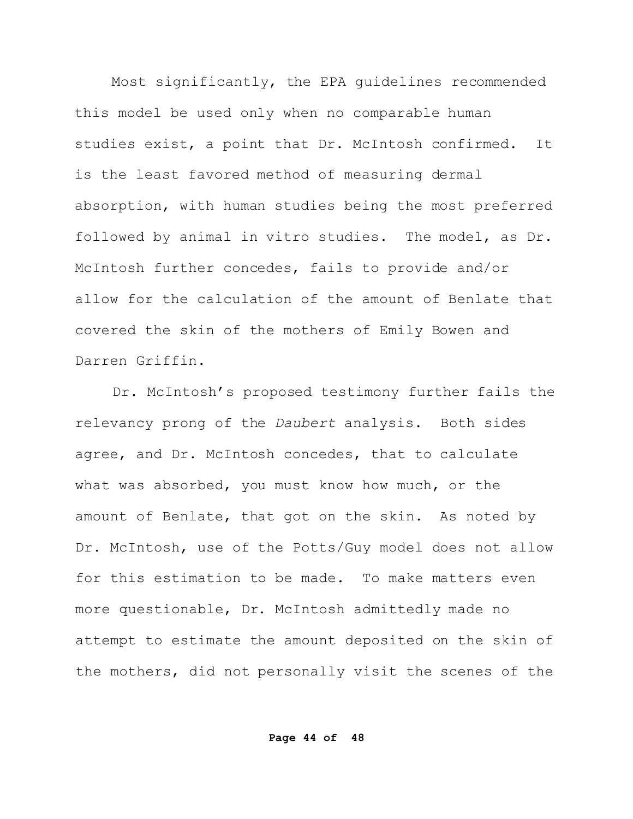Most significantly, the EPA guidelines recommended this model be used only when no comparable human studies exist, a point that Dr. McIntosh confirmed. It is the least favored method of measuring dermal absorption, with human studies being the most preferred followed by animal in vitro studies. The model, as Dr. McIntosh further concedes, fails to provide and/or allow for the calculation of the amount of Benlate that covered the skin of the mothers of Emily Bowen and Darren Griffin.

Dr. McIntosh's proposed testimony further fails the relevancy prong of the *Daubert* analysis. Both sides agree, and Dr. McIntosh concedes, that to calculate what was absorbed, you must know how much, or the amount of Benlate, that got on the skin. As noted by Dr. McIntosh, use of the Potts/Guy model does not allow for this estimation to be made. To make matters even more questionable, Dr. McIntosh admittedly made no attempt to estimate the amount deposited on the skin of the mothers, did not personally visit the scenes of the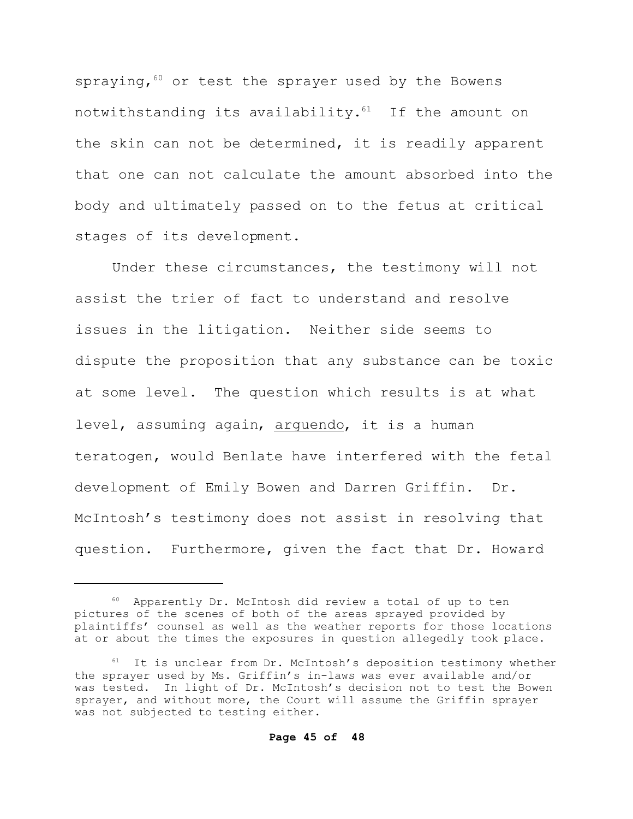spraying,  $60$  or test the sprayer used by the Bowens notwithstanding its availability. $61$  If the amount on the skin can not be determined, it is readily apparent that one can not calculate the amount absorbed into the body and ultimately passed on to the fetus at critical stages of its development.

Under these circumstances, the testimony will not assist the trier of fact to understand and resolve issues in the litigation. Neither side seems to dispute the proposition that any substance can be toxic at some level. The question which results is at what level, assuming again, arguendo, it is a human teratogen, would Benlate have interfered with the fetal development of Emily Bowen and Darren Griffin. Dr. McIntosh's testimony does not assist in resolving that question. Furthermore, given the fact that Dr. Howard

<sup>60</sup> Apparently Dr. McIntosh did review a total of up to ten pictures of the scenes of both of the areas sprayed provided by plaintiffs' counsel as well as the weather reports for those locations at or about the times the exposures in question allegedly took place.

 $61$  It is unclear from Dr. McIntosh's deposition testimony whether the sprayer used by Ms. Griffin's in-laws was ever available and/or was tested. In light of Dr. McIntosh's decision not to test the Bowen sprayer, and without more, the Court will assume the Griffin sprayer was not subjected to testing either.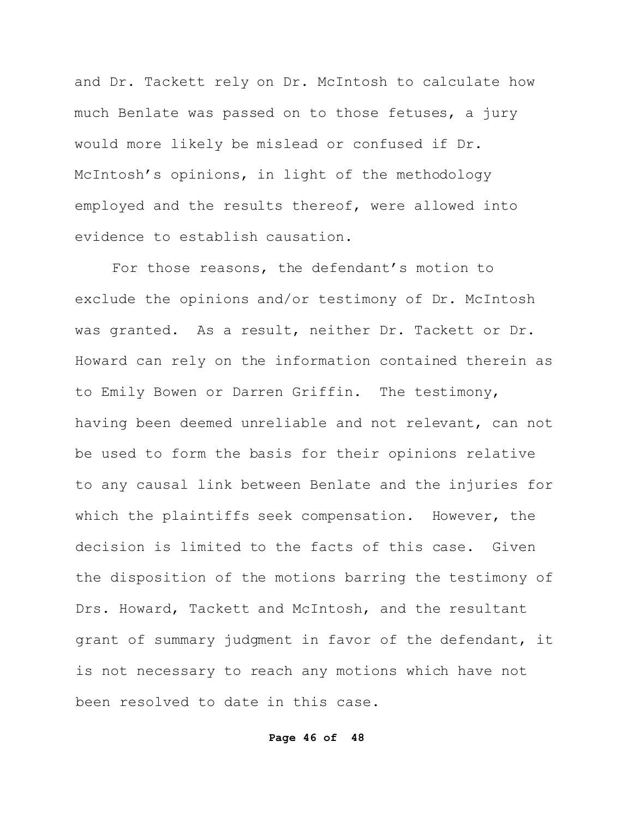and Dr. Tackett rely on Dr. McIntosh to calculate how much Benlate was passed on to those fetuses, a jury would more likely be mislead or confused if Dr. McIntosh's opinions, in light of the methodology employed and the results thereof, were allowed into evidence to establish causation.

For those reasons, the defendant's motion to exclude the opinions and/or testimony of Dr. McIntosh was granted. As a result, neither Dr. Tackett or Dr. Howard can rely on the information contained therein as to Emily Bowen or Darren Griffin. The testimony, having been deemed unreliable and not relevant, can not be used to form the basis for their opinions relative to any causal link between Benlate and the injuries for which the plaintiffs seek compensation. However, the decision is limited to the facts of this case. Given the disposition of the motions barring the testimony of Drs. Howard, Tackett and McIntosh, and the resultant grant of summary judgment in favor of the defendant, it is not necessary to reach any motions which have not been resolved to date in this case.

## **Page 46 of 48**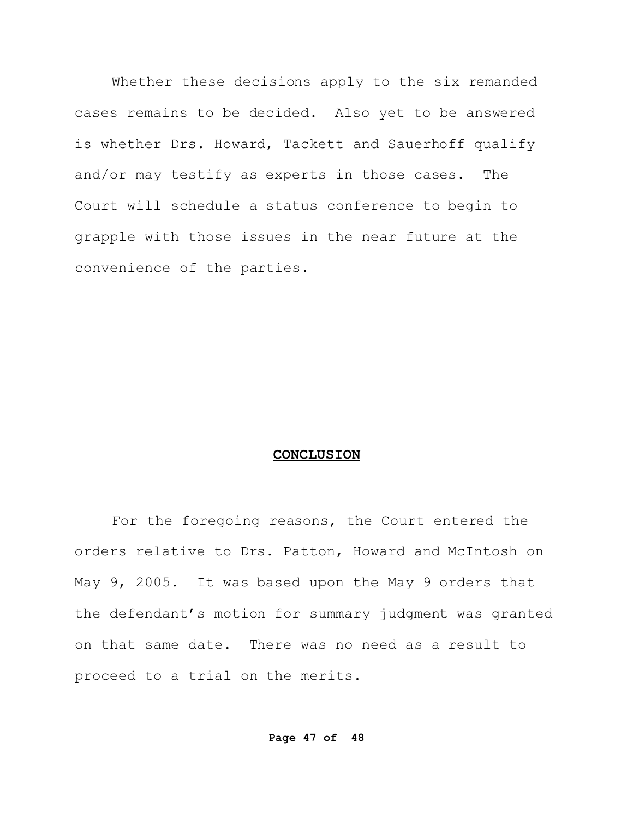Whether these decisions apply to the six remanded cases remains to be decided. Also yet to be answered is whether Drs. Howard, Tackett and Sauerhoff qualify and/or may testify as experts in those cases. The Court will schedule a status conference to begin to grapple with those issues in the near future at the convenience of the parties.

## **CONCLUSION**

For the foregoing reasons, the Court entered the orders relative to Drs. Patton, Howard and McIntosh on May 9, 2005. It was based upon the May 9 orders that the defendant's motion for summary judgment was granted on that same date. There was no need as a result to proceed to a trial on the merits.